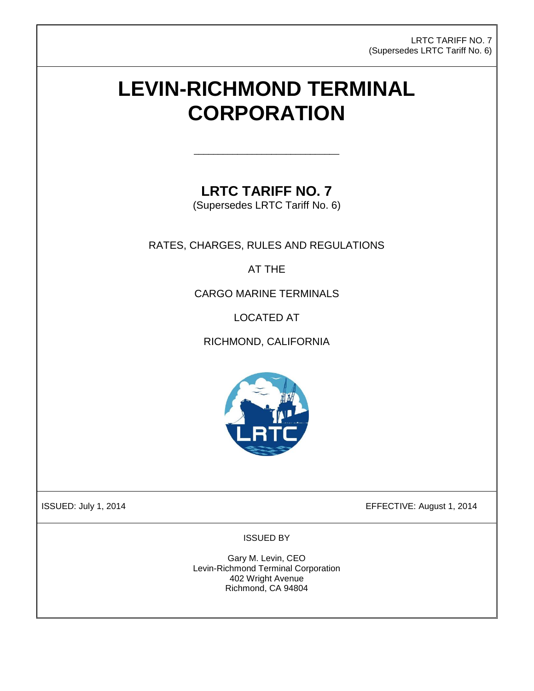LRTC TARIFF NO. 7 (Supersedes LRTC Tariff No. 6)

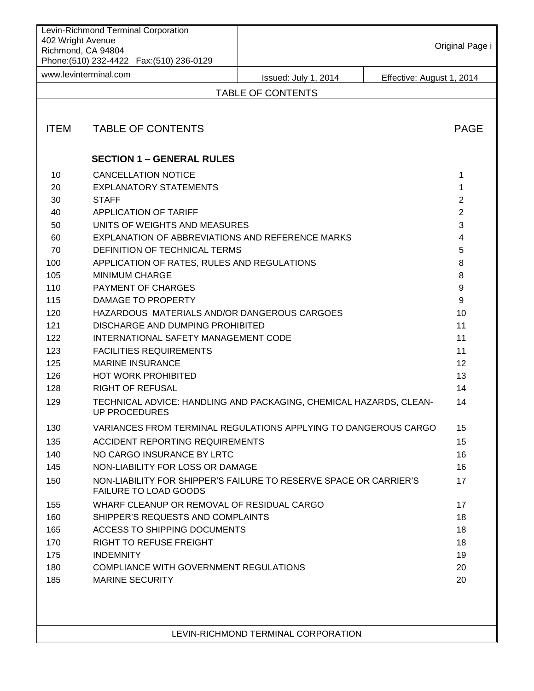| Levin-Richmond Terminal Corporation<br>402 Wright Avenue<br>Richmond, CA 94804<br>Phone: (510) 232-4422    Fax: (510) 236-0129 |                                                  |                                                                    | Original Page i |
|--------------------------------------------------------------------------------------------------------------------------------|--------------------------------------------------|--------------------------------------------------------------------|-----------------|
| www.levinterminal.com                                                                                                          |                                                  | Effective: August 1, 2014<br>Issued: July 1, 2014                  |                 |
|                                                                                                                                |                                                  | <b>TABLE OF CONTENTS</b>                                           |                 |
|                                                                                                                                |                                                  |                                                                    |                 |
| <b>ITEM</b>                                                                                                                    | <b>TABLE OF CONTENTS</b>                         |                                                                    | <b>PAGE</b>     |
|                                                                                                                                | <b>SECTION 1 - GENERAL RULES</b>                 |                                                                    |                 |
| 10                                                                                                                             | <b>CANCELLATION NOTICE</b>                       |                                                                    | 1               |
| 20                                                                                                                             | <b>EXPLANATORY STATEMENTS</b>                    |                                                                    | 1               |
| 30                                                                                                                             | <b>STAFF</b>                                     |                                                                    | $\overline{2}$  |
| 40                                                                                                                             | APPLICATION OF TARIFF                            |                                                                    | $\overline{2}$  |
| 50                                                                                                                             | UNITS OF WEIGHTS AND MEASURES                    |                                                                    | 3               |
| 60                                                                                                                             | EXPLANATION OF ABBREVIATIONS AND REFERENCE MARKS |                                                                    | 4               |
| 70                                                                                                                             | DEFINITION OF TECHNICAL TERMS                    |                                                                    | 5               |
| 100                                                                                                                            | APPLICATION OF RATES, RULES AND REGULATIONS      |                                                                    | 8               |
| 105                                                                                                                            | <b>MINIMUM CHARGE</b>                            |                                                                    | 8               |
| 110                                                                                                                            | PAYMENT OF CHARGES                               |                                                                    | 9               |
| 115                                                                                                                            | DAMAGE TO PROPERTY                               |                                                                    | 9               |
| 120                                                                                                                            | HAZARDOUS MATERIALS AND/OR DANGEROUS CARGOES     |                                                                    | 10              |
| 121                                                                                                                            | DISCHARGE AND DUMPING PROHIBITED                 |                                                                    | 11              |
| 122                                                                                                                            | INTERNATIONAL SAFETY MANAGEMENT CODE             |                                                                    | 11              |
| 123                                                                                                                            | <b>FACILITIES REQUIREMENTS</b>                   |                                                                    | 11              |
| 125                                                                                                                            | <b>MARINE INSURANCE</b>                          |                                                                    | 12              |
| 126                                                                                                                            | <b>HOT WORK PROHIBITED</b>                       |                                                                    | 13              |
| 128                                                                                                                            | <b>RIGHT OF REFUSAL</b>                          |                                                                    | 14              |
| 129                                                                                                                            | <b>UP PROCEDURES</b>                             | TECHNICAL ADVICE: HANDLING AND PACKAGING, CHEMICAL HAZARDS, CLEAN- | 14              |
| 130                                                                                                                            |                                                  | VARIANCES FROM TERMINAL REGULATIONS APPLYING TO DANGEROUS CARGO    | 15              |
| 135                                                                                                                            | ACCIDENT REPORTING REQUIREMENTS                  |                                                                    | 15              |
| 140                                                                                                                            | NO CARGO INSURANCE BY LRTC                       |                                                                    | 16              |
| 145                                                                                                                            | NON-LIABILITY FOR LOSS OR DAMAGE                 |                                                                    | 16              |
| 150                                                                                                                            | <b>FAILURE TO LOAD GOODS</b>                     | NON-LIABILITY FOR SHIPPER'S FAILURE TO RESERVE SPACE OR CARRIER'S  | 17              |
| 155                                                                                                                            | WHARF CLEANUP OR REMOVAL OF RESIDUAL CARGO       |                                                                    | 17              |
| 160                                                                                                                            | SHIPPER'S REQUESTS AND COMPLAINTS                |                                                                    | 18              |
| 165                                                                                                                            | ACCESS TO SHIPPING DOCUMENTS                     |                                                                    | 18              |
| 170                                                                                                                            | <b>RIGHT TO REFUSE FREIGHT</b>                   |                                                                    | 18              |
| 175                                                                                                                            | <b>INDEMNITY</b>                                 |                                                                    | 19              |
| 180                                                                                                                            | COMPLIANCE WITH GOVERNMENT REGULATIONS           |                                                                    | 20              |
| 185                                                                                                                            | <b>MARINE SECURITY</b>                           |                                                                    | 20              |
|                                                                                                                                |                                                  |                                                                    |                 |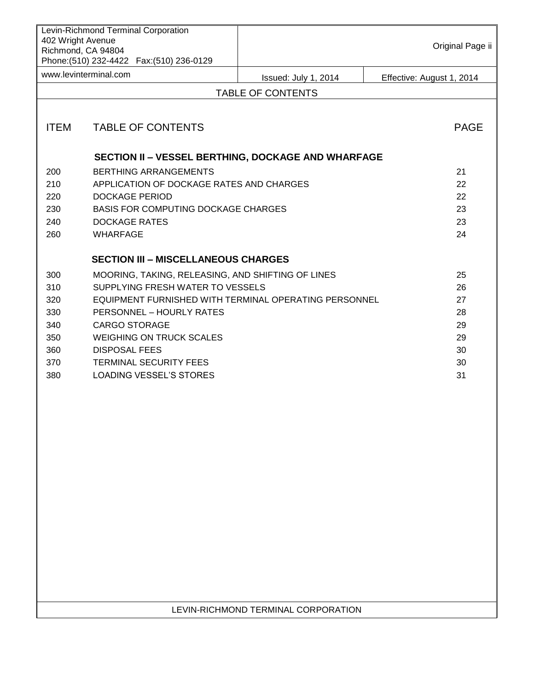| Levin-Richmond Terminal Corporation<br>402 Wright Avenue<br>Richmond, CA 94804<br>Phone: (510) 232-4422    Fax: (510) 236-0129 |                                                       |                          | Original Page ii          |  |  |
|--------------------------------------------------------------------------------------------------------------------------------|-------------------------------------------------------|--------------------------|---------------------------|--|--|
| www.levinterminal.com                                                                                                          |                                                       | Issued: July 1, 2014     | Effective: August 1, 2014 |  |  |
|                                                                                                                                |                                                       | <b>TABLE OF CONTENTS</b> |                           |  |  |
|                                                                                                                                |                                                       |                          |                           |  |  |
| <b>ITEM</b>                                                                                                                    | <b>TABLE OF CONTENTS</b>                              |                          | <b>PAGE</b>               |  |  |
|                                                                                                                                | SECTION II - VESSEL BERTHING, DOCKAGE AND WHARFAGE    |                          |                           |  |  |
| 200                                                                                                                            | <b>BERTHING ARRANGEMENTS</b>                          |                          | 21                        |  |  |
| 210                                                                                                                            | APPLICATION OF DOCKAGE RATES AND CHARGES<br>22        |                          |                           |  |  |
| 220                                                                                                                            | 22<br>DOCKAGE PERIOD                                  |                          |                           |  |  |
| 230                                                                                                                            | <b>BASIS FOR COMPUTING DOCKAGE CHARGES</b>            |                          |                           |  |  |
| 240                                                                                                                            | <b>DOCKAGE RATES</b>                                  |                          |                           |  |  |
| 260                                                                                                                            | <b>WHARFAGE</b><br>24                                 |                          |                           |  |  |
|                                                                                                                                | <b>SECTION III - MISCELLANEOUS CHARGES</b>            |                          |                           |  |  |
| 300                                                                                                                            | MOORING, TAKING, RELEASING, AND SHIFTING OF LINES     |                          | 25                        |  |  |
| 310                                                                                                                            | SUPPLYING FRESH WATER TO VESSELS                      |                          | 26                        |  |  |
| 320                                                                                                                            | EQUIPMENT FURNISHED WITH TERMINAL OPERATING PERSONNEL |                          | 27                        |  |  |
| 330                                                                                                                            | PERSONNEL - HOURLY RATES                              |                          | 28                        |  |  |
| 340                                                                                                                            | <b>CARGO STORAGE</b>                                  |                          | 29                        |  |  |
| 350                                                                                                                            | <b>WEIGHING ON TRUCK SCALES</b>                       |                          | 29                        |  |  |
| 360                                                                                                                            | <b>DISPOSAL FEES</b>                                  |                          | 30                        |  |  |
| 370                                                                                                                            | <b>TERMINAL SECURITY FEES</b>                         |                          | 30                        |  |  |
| 380                                                                                                                            | <b>LOADING VESSEL'S STORES</b>                        |                          | 31                        |  |  |

## LEVIN-RICHMOND TERMINAL CORPORATION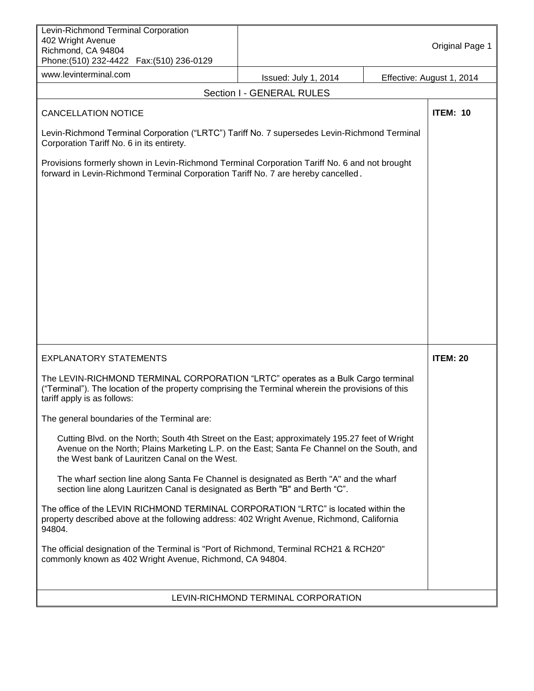| Levin-Richmond Terminal Corporation<br>402 Wright Avenue<br>Richmond, CA 94804<br>Phone: (510) 232-4422  Fax: (510) 236-0129                                                                                                                 |                                     | Original Page 1           |
|----------------------------------------------------------------------------------------------------------------------------------------------------------------------------------------------------------------------------------------------|-------------------------------------|---------------------------|
| www.levinterminal.com                                                                                                                                                                                                                        | Issued: July 1, 2014                | Effective: August 1, 2014 |
|                                                                                                                                                                                                                                              | Section I - GENERAL RULES           |                           |
| <b>CANCELLATION NOTICE</b>                                                                                                                                                                                                                   |                                     | <b>ITEM: 10</b>           |
| Levin-Richmond Terminal Corporation ("LRTC") Tariff No. 7 supersedes Levin-Richmond Terminal<br>Corporation Tariff No. 6 in its entirety.                                                                                                    |                                     |                           |
| Provisions formerly shown in Levin-Richmond Terminal Corporation Tariff No. 6 and not brought<br>forward in Levin-Richmond Terminal Corporation Tariff No. 7 are hereby cancelled.                                                           |                                     |                           |
| <b>EXPLANATORY STATEMENTS</b>                                                                                                                                                                                                                |                                     | <b>ITEM: 20</b>           |
| The LEVIN-RICHMOND TERMINAL CORPORATION "LRTC" operates as a Bulk Cargo terminal<br>("Terminal"). The location of the property comprising the Terminal wherein the provisions of this<br>tariff apply is as follows:                         |                                     |                           |
| The general boundaries of the Terminal are:                                                                                                                                                                                                  |                                     |                           |
| Cutting Blvd. on the North; South 4th Street on the East; approximately 195.27 feet of Wright<br>Avenue on the North; Plains Marketing L.P. on the East; Santa Fe Channel on the South, and<br>the West bank of Lauritzen Canal on the West. |                                     |                           |
| The wharf section line along Santa Fe Channel is designated as Berth "A" and the wharf<br>section line along Lauritzen Canal is designated as Berth "B" and Berth "C".                                                                       |                                     |                           |
| The office of the LEVIN RICHMOND TERMINAL CORPORATION "LRTC" is located within the<br>property described above at the following address: 402 Wright Avenue, Richmond, California<br>94804.                                                   |                                     |                           |
| The official designation of the Terminal is "Port of Richmond, Terminal RCH21 & RCH20"<br>commonly known as 402 Wright Avenue, Richmond, CA 94804.                                                                                           |                                     |                           |
|                                                                                                                                                                                                                                              | LEVIN-RICHMOND TERMINAL CORPORATION |                           |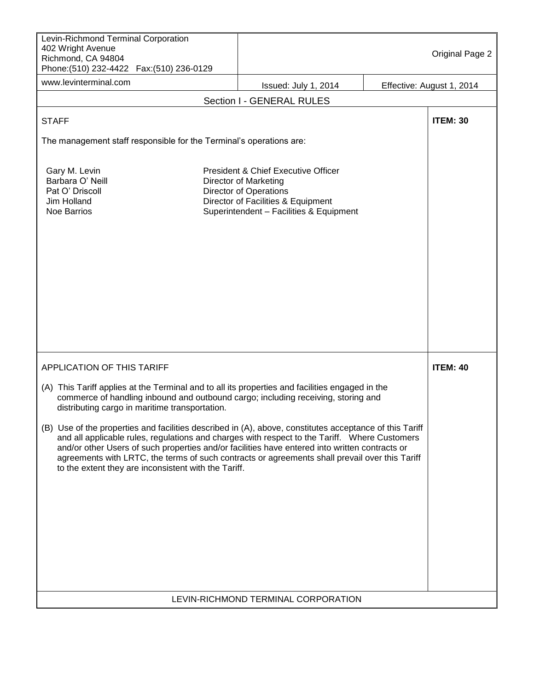| Levin-Richmond Terminal Corporation<br>402 Wright Avenue<br>Richmond, CA 94804<br>Phone: (510) 232-4422    Fax: (510) 236-0129                                                                                                                                                                                                                                                                                                                                                                                                                                                                                                                                                                                 |                                                                                                                                                                                       | Original Page 2           |
|----------------------------------------------------------------------------------------------------------------------------------------------------------------------------------------------------------------------------------------------------------------------------------------------------------------------------------------------------------------------------------------------------------------------------------------------------------------------------------------------------------------------------------------------------------------------------------------------------------------------------------------------------------------------------------------------------------------|---------------------------------------------------------------------------------------------------------------------------------------------------------------------------------------|---------------------------|
| www.levinterminal.com                                                                                                                                                                                                                                                                                                                                                                                                                                                                                                                                                                                                                                                                                          | Issued: July 1, 2014                                                                                                                                                                  | Effective: August 1, 2014 |
|                                                                                                                                                                                                                                                                                                                                                                                                                                                                                                                                                                                                                                                                                                                | Section I - GENERAL RULES                                                                                                                                                             |                           |
| <b>STAFF</b>                                                                                                                                                                                                                                                                                                                                                                                                                                                                                                                                                                                                                                                                                                   |                                                                                                                                                                                       | <b>ITEM: 30</b>           |
| The management staff responsible for the Terminal's operations are:                                                                                                                                                                                                                                                                                                                                                                                                                                                                                                                                                                                                                                            |                                                                                                                                                                                       |                           |
| Gary M. Levin<br>Barbara O' Neill<br>Pat O' Driscoll<br>Jim Holland<br><b>Noe Barrios</b>                                                                                                                                                                                                                                                                                                                                                                                                                                                                                                                                                                                                                      | President & Chief Executive Officer<br><b>Director of Marketing</b><br><b>Director of Operations</b><br>Director of Facilities & Equipment<br>Superintendent - Facilities & Equipment |                           |
| <b>APPLICATION OF THIS TARIFF</b>                                                                                                                                                                                                                                                                                                                                                                                                                                                                                                                                                                                                                                                                              |                                                                                                                                                                                       | <b>ITEM: 40</b>           |
| (A) This Tariff applies at the Terminal and to all its properties and facilities engaged in the<br>commerce of handling inbound and outbound cargo; including receiving, storing and<br>distributing cargo in maritime transportation.<br>(B) Use of the properties and facilities described in (A), above, constitutes acceptance of this Tariff<br>and all applicable rules, regulations and charges with respect to the Tariff. Where Customers<br>and/or other Users of such properties and/or facilities have entered into written contracts or<br>agreements with LRTC, the terms of such contracts or agreements shall prevail over this Tariff<br>to the extent they are inconsistent with the Tariff. |                                                                                                                                                                                       |                           |
|                                                                                                                                                                                                                                                                                                                                                                                                                                                                                                                                                                                                                                                                                                                | LEVIN-RICHMOND TERMINAL CORPORATION                                                                                                                                                   |                           |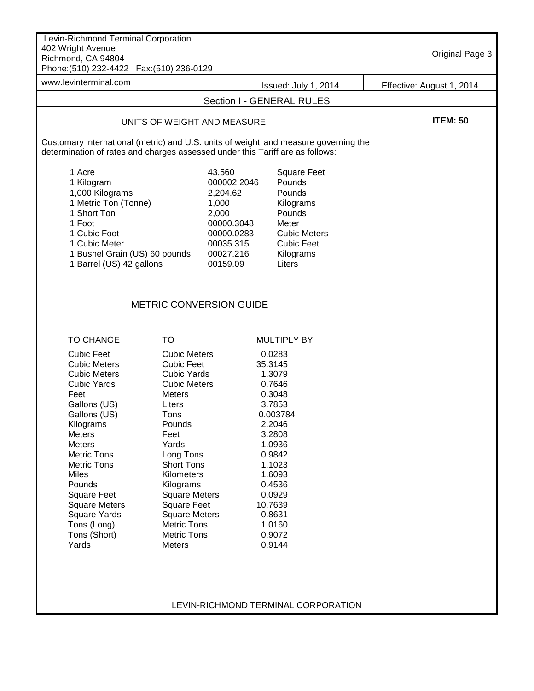| Levin-Richmond Terminal Corporation<br>402 Wright Avenue<br>Richmond, CA 94804<br>Phone: (510) 232-4422    Fax: (510) 236-0129                                                                                                                                                                                                                                                                                                                                                                                                                                                                                                                                                                           |                                                                                                                       |                                                                                                                                                                                                          | Original Page 3           |
|----------------------------------------------------------------------------------------------------------------------------------------------------------------------------------------------------------------------------------------------------------------------------------------------------------------------------------------------------------------------------------------------------------------------------------------------------------------------------------------------------------------------------------------------------------------------------------------------------------------------------------------------------------------------------------------------------------|-----------------------------------------------------------------------------------------------------------------------|----------------------------------------------------------------------------------------------------------------------------------------------------------------------------------------------------------|---------------------------|
| www.levinterminal.com                                                                                                                                                                                                                                                                                                                                                                                                                                                                                                                                                                                                                                                                                    |                                                                                                                       | Issued: July 1, 2014                                                                                                                                                                                     | Effective: August 1, 2014 |
|                                                                                                                                                                                                                                                                                                                                                                                                                                                                                                                                                                                                                                                                                                          |                                                                                                                       | Section I - GENERAL RULES                                                                                                                                                                                |                           |
| UNITS OF WEIGHT AND MEASURE                                                                                                                                                                                                                                                                                                                                                                                                                                                                                                                                                                                                                                                                              |                                                                                                                       |                                                                                                                                                                                                          | <b>ITEM: 50</b>           |
| Customary international (metric) and U.S. units of weight and measure governing the<br>determination of rates and charges assessed under this Tariff are as follows:                                                                                                                                                                                                                                                                                                                                                                                                                                                                                                                                     |                                                                                                                       |                                                                                                                                                                                                          |                           |
| 1 Acre<br>1 Kilogram<br>1,000 Kilograms<br>1 Metric Ton (Tonne)<br>1 Short Ton<br>1 Foot<br>1 Cubic Foot<br>1 Cubic Meter<br>1 Bushel Grain (US) 60 pounds<br>1 Barrel (US) 42 gallons                                                                                                                                                                                                                                                                                                                                                                                                                                                                                                                   | 43,560<br>000002.2046<br>2,204.62<br>1,000<br>2,000<br>00000.3048<br>00000.0283<br>00035.315<br>00027.216<br>00159.09 | <b>Square Feet</b><br>Pounds<br>Pounds<br>Kilograms<br>Pounds<br>Meter<br><b>Cubic Meters</b><br><b>Cubic Feet</b><br>Kilograms<br>Liters                                                                |                           |
| <b>METRIC CONVERSION GUIDE</b>                                                                                                                                                                                                                                                                                                                                                                                                                                                                                                                                                                                                                                                                           |                                                                                                                       |                                                                                                                                                                                                          |                           |
| <b>TO</b><br><b>TO CHANGE</b>                                                                                                                                                                                                                                                                                                                                                                                                                                                                                                                                                                                                                                                                            |                                                                                                                       | <b>MULTIPLY BY</b>                                                                                                                                                                                       |                           |
| <b>Cubic Feet</b><br><b>Cubic Meters</b><br><b>Cubic Meters</b><br><b>Cubic Feet</b><br><b>Cubic Meters</b><br><b>Cubic Yards</b><br><b>Cubic Yards</b><br><b>Cubic Meters</b><br>Feet<br><b>Meters</b><br>Gallons (US)<br>Liters<br>Gallons (US)<br>Tons<br>Kilograms<br>Pounds<br>Meters<br>Feet<br>Yards<br>Meters<br><b>Metric Tons</b><br>Long Tons<br><b>Metric Tons</b><br><b>Short Tons</b><br><b>Miles</b><br>Kilometers<br>Pounds<br>Kilograms<br><b>Square Feet</b><br><b>Square Meters</b><br><b>Square Feet</b><br><b>Square Meters</b><br><b>Square Yards</b><br><b>Square Meters</b><br>Tons (Long)<br><b>Metric Tons</b><br><b>Metric Tons</b><br>Tons (Short)<br>Yards<br><b>Meters</b> |                                                                                                                       | 0.0283<br>35.3145<br>1.3079<br>0.7646<br>0.3048<br>3.7853<br>0.003784<br>2.2046<br>3.2808<br>1.0936<br>0.9842<br>1.1023<br>1.6093<br>0.4536<br>0.0929<br>10.7639<br>0.8631<br>1.0160<br>0.9072<br>0.9144 |                           |
|                                                                                                                                                                                                                                                                                                                                                                                                                                                                                                                                                                                                                                                                                                          |                                                                                                                       | LEVIN-RICHMOND TERMINAL CORPORATION                                                                                                                                                                      |                           |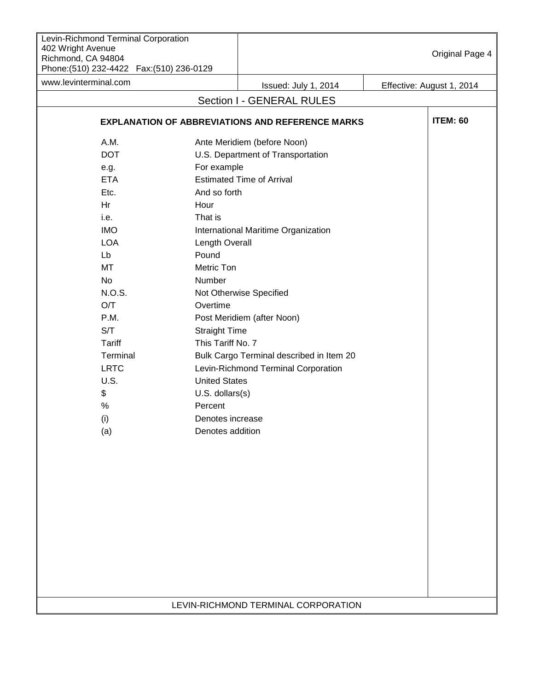| Levin-Richmond Terminal Corporation<br>402 Wright Avenue<br>Richmond, CA 94804<br>Phone: (510) 232-4422    Fax: (510) 236-0129 |                      |                                                         |  | Original Page 4           |
|--------------------------------------------------------------------------------------------------------------------------------|----------------------|---------------------------------------------------------|--|---------------------------|
| www.levinterminal.com                                                                                                          |                      | Issued: July 1, 2014                                    |  | Effective: August 1, 2014 |
|                                                                                                                                |                      | Section I - GENERAL RULES                               |  |                           |
|                                                                                                                                |                      | <b>EXPLANATION OF ABBREVIATIONS AND REFERENCE MARKS</b> |  | <b>ITEM: 60</b>           |
| A.M.                                                                                                                           |                      | Ante Meridiem (before Noon)                             |  |                           |
| <b>DOT</b>                                                                                                                     |                      | U.S. Department of Transportation                       |  |                           |
| e.g.                                                                                                                           | For example          |                                                         |  |                           |
| <b>ETA</b>                                                                                                                     |                      | <b>Estimated Time of Arrival</b>                        |  |                           |
| Etc.                                                                                                                           | And so forth         |                                                         |  |                           |
| Hr                                                                                                                             | Hour                 |                                                         |  |                           |
| i.e.                                                                                                                           | That is              |                                                         |  |                           |
| <b>IMO</b>                                                                                                                     |                      | International Maritime Organization                     |  |                           |
| <b>LOA</b>                                                                                                                     | Length Overall       |                                                         |  |                           |
| Lb                                                                                                                             | Pound                |                                                         |  |                           |
| MT                                                                                                                             | Metric Ton           |                                                         |  |                           |
| No                                                                                                                             | Number               |                                                         |  |                           |
| N.O.S.                                                                                                                         |                      | Not Otherwise Specified                                 |  |                           |
| O/T                                                                                                                            | Overtime             |                                                         |  |                           |
| P.M.                                                                                                                           |                      | Post Meridiem (after Noon)                              |  |                           |
| S/T                                                                                                                            | <b>Straight Time</b> |                                                         |  |                           |
| Tariff                                                                                                                         | This Tariff No. 7    |                                                         |  |                           |
| Terminal                                                                                                                       |                      | Bulk Cargo Terminal described in Item 20                |  |                           |
| <b>LRTC</b>                                                                                                                    |                      |                                                         |  |                           |
|                                                                                                                                | <b>United States</b> | Levin-Richmond Terminal Corporation                     |  |                           |
| <b>U.S.</b>                                                                                                                    |                      |                                                         |  |                           |
| \$                                                                                                                             | $U.S.$ dollars $(s)$ |                                                         |  |                           |
| $\%$                                                                                                                           | Percent              |                                                         |  |                           |
| (i)                                                                                                                            | Denotes increase     |                                                         |  |                           |
| (a)                                                                                                                            | Denotes addition     |                                                         |  |                           |
|                                                                                                                                |                      |                                                         |  |                           |
|                                                                                                                                |                      |                                                         |  |                           |
|                                                                                                                                |                      |                                                         |  |                           |
|                                                                                                                                |                      |                                                         |  |                           |
|                                                                                                                                |                      |                                                         |  |                           |
|                                                                                                                                |                      |                                                         |  |                           |
|                                                                                                                                |                      |                                                         |  |                           |
|                                                                                                                                |                      |                                                         |  |                           |
|                                                                                                                                |                      |                                                         |  |                           |
|                                                                                                                                |                      |                                                         |  |                           |
|                                                                                                                                |                      |                                                         |  |                           |
|                                                                                                                                |                      |                                                         |  |                           |
|                                                                                                                                |                      |                                                         |  |                           |
|                                                                                                                                |                      | LEVIN-RICHMOND TERMINAL CORPORATION                     |  |                           |
|                                                                                                                                |                      |                                                         |  |                           |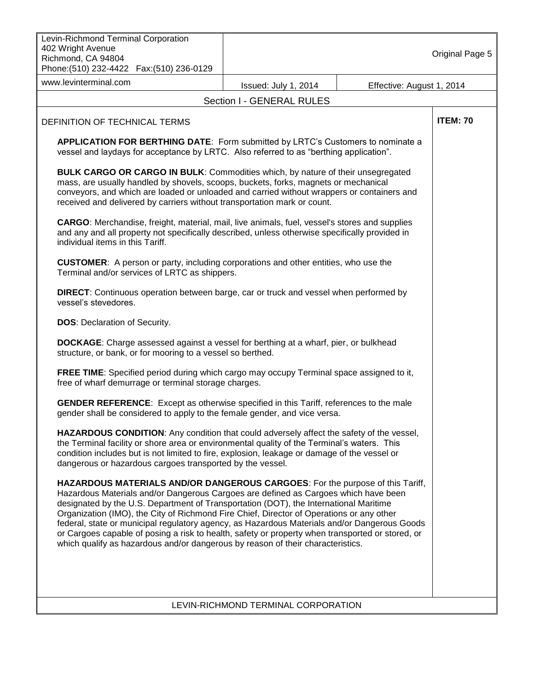| Levin-Richmond Terminal Corporation<br>402 Wright Avenue<br>Richmond, CA 94804<br>Phone: (510) 232-4422    Fax: (510) 236-0129                                                                                                                                                                                                                                                                                                                                                                                                                                                                                                                   |                                     |                           | Original Page 5 |  |
|--------------------------------------------------------------------------------------------------------------------------------------------------------------------------------------------------------------------------------------------------------------------------------------------------------------------------------------------------------------------------------------------------------------------------------------------------------------------------------------------------------------------------------------------------------------------------------------------------------------------------------------------------|-------------------------------------|---------------------------|-----------------|--|
| www.levinterminal.com                                                                                                                                                                                                                                                                                                                                                                                                                                                                                                                                                                                                                            | Issued: July 1, 2014                | Effective: August 1, 2014 |                 |  |
|                                                                                                                                                                                                                                                                                                                                                                                                                                                                                                                                                                                                                                                  | Section I - GENERAL RULES           |                           |                 |  |
| DEFINITION OF TECHNICAL TERMS                                                                                                                                                                                                                                                                                                                                                                                                                                                                                                                                                                                                                    |                                     |                           | <b>ITEM: 70</b> |  |
| <b>APPLICATION FOR BERTHING DATE:</b> Form submitted by LRTC's Customers to nominate a<br>vessel and laydays for acceptance by LRTC. Also referred to as "berthing application".                                                                                                                                                                                                                                                                                                                                                                                                                                                                 |                                     |                           |                 |  |
| <b>BULK CARGO OR CARGO IN BULK: Commodities which, by nature of their unsegregated</b><br>mass, are usually handled by shovels, scoops, buckets, forks, magnets or mechanical<br>conveyors, and which are loaded or unloaded and carried without wrappers or containers and<br>received and delivered by carriers without transportation mark or count.                                                                                                                                                                                                                                                                                          |                                     |                           |                 |  |
| CARGO: Merchandise, freight, material, mail, live animals, fuel, vessel's stores and supplies<br>and any and all property not specifically described, unless otherwise specifically provided in<br>individual items in this Tariff.                                                                                                                                                                                                                                                                                                                                                                                                              |                                     |                           |                 |  |
| <b>CUSTOMER:</b> A person or party, including corporations and other entities, who use the<br>Terminal and/or services of LRTC as shippers.                                                                                                                                                                                                                                                                                                                                                                                                                                                                                                      |                                     |                           |                 |  |
| <b>DIRECT:</b> Continuous operation between barge, car or truck and vessel when performed by<br>vessel's stevedores.                                                                                                                                                                                                                                                                                                                                                                                                                                                                                                                             |                                     |                           |                 |  |
| <b>DOS:</b> Declaration of Security.                                                                                                                                                                                                                                                                                                                                                                                                                                                                                                                                                                                                             |                                     |                           |                 |  |
| <b>DOCKAGE:</b> Charge assessed against a vessel for berthing at a wharf, pier, or bulkhead<br>structure, or bank, or for mooring to a vessel so berthed.                                                                                                                                                                                                                                                                                                                                                                                                                                                                                        |                                     |                           |                 |  |
| FREE TIME: Specified period during which cargo may occupy Terminal space assigned to it,<br>free of wharf demurrage or terminal storage charges.                                                                                                                                                                                                                                                                                                                                                                                                                                                                                                 |                                     |                           |                 |  |
| <b>GENDER REFERENCE:</b> Except as otherwise specified in this Tariff, references to the male<br>gender shall be considered to apply to the female gender, and vice versa.                                                                                                                                                                                                                                                                                                                                                                                                                                                                       |                                     |                           |                 |  |
| HAZARDOUS CONDITION: Any condition that could adversely affect the safety of the vessel,<br>the Terminal facility or shore area or environmental quality of the Terminal's waters. This<br>condition includes but is not limited to fire, explosion, leakage or damage of the vessel or<br>dangerous or hazardous cargoes transported by the vessel.                                                                                                                                                                                                                                                                                             |                                     |                           |                 |  |
| HAZARDOUS MATERIALS AND/OR DANGEROUS CARGOES: For the purpose of this Tariff,<br>Hazardous Materials and/or Dangerous Cargoes are defined as Cargoes which have been<br>designated by the U.S. Department of Transportation (DOT), the International Maritime<br>Organization (IMO), the City of Richmond Fire Chief, Director of Operations or any other<br>federal, state or municipal regulatory agency, as Hazardous Materials and/or Dangerous Goods<br>or Cargoes capable of posing a risk to health, safety or property when transported or stored, or<br>which qualify as hazardous and/or dangerous by reason of their characteristics. |                                     |                           |                 |  |
|                                                                                                                                                                                                                                                                                                                                                                                                                                                                                                                                                                                                                                                  | LEVIN-RICHMOND TERMINAL CORPORATION |                           |                 |  |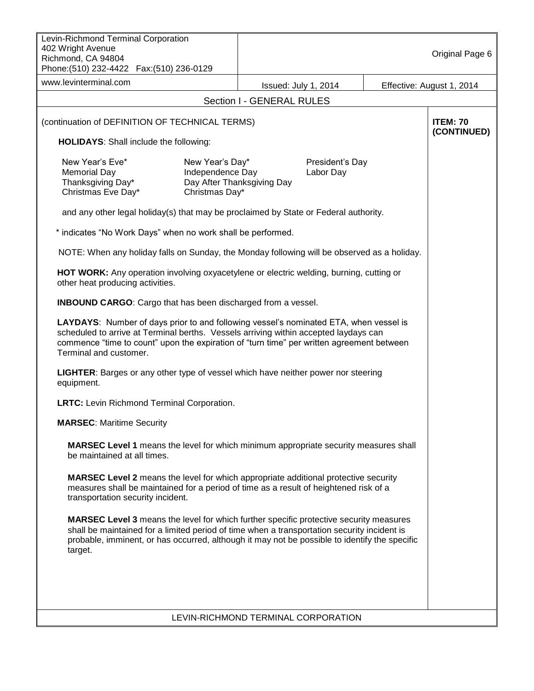| Levin-Richmond Terminal Corporation                                                                                                                                                                                                                                                                      |                                                       |                                     |                              |  |                           |
|----------------------------------------------------------------------------------------------------------------------------------------------------------------------------------------------------------------------------------------------------------------------------------------------------------|-------------------------------------------------------|-------------------------------------|------------------------------|--|---------------------------|
| 402 Wright Avenue<br>Richmond, CA 94804<br>Phone: (510) 232-4422    Fax: (510) 236-0129                                                                                                                                                                                                                  |                                                       |                                     |                              |  | Original Page 6           |
| www.levinterminal.com                                                                                                                                                                                                                                                                                    |                                                       | Issued: July 1, 2014                |                              |  | Effective: August 1, 2014 |
|                                                                                                                                                                                                                                                                                                          |                                                       | Section I - GENERAL RULES           |                              |  |                           |
| (continuation of DEFINITION OF TECHNICAL TERMS)                                                                                                                                                                                                                                                          |                                                       |                                     |                              |  | <b>ITEM: 70</b>           |
| <b>HOLIDAYS:</b> Shall include the following:                                                                                                                                                                                                                                                            |                                                       |                                     |                              |  | (CONTINUED)               |
| New Year's Eve*<br><b>Memorial Day</b><br>Thanksgiving Day*<br>Christmas Eve Day*                                                                                                                                                                                                                        | New Year's Day*<br>Independence Day<br>Christmas Day* | Day After Thanksgiving Day          | President's Day<br>Labor Day |  |                           |
| and any other legal holiday(s) that may be proclaimed by State or Federal authority.                                                                                                                                                                                                                     |                                                       |                                     |                              |  |                           |
| * indicates "No Work Days" when no work shall be performed.                                                                                                                                                                                                                                              |                                                       |                                     |                              |  |                           |
| NOTE: When any holiday falls on Sunday, the Monday following will be observed as a holiday.                                                                                                                                                                                                              |                                                       |                                     |                              |  |                           |
| HOT WORK: Any operation involving oxyacetylene or electric welding, burning, cutting or<br>other heat producing activities.                                                                                                                                                                              |                                                       |                                     |                              |  |                           |
| <b>INBOUND CARGO:</b> Cargo that has been discharged from a vessel.                                                                                                                                                                                                                                      |                                                       |                                     |                              |  |                           |
| LAYDAYS: Number of days prior to and following vessel's nominated ETA, when vessel is<br>scheduled to arrive at Terminal berths. Vessels arriving within accepted laydays can<br>commence "time to count" upon the expiration of "turn time" per written agreement between<br>Terminal and customer.     |                                                       |                                     |                              |  |                           |
| LIGHTER: Barges or any other type of vessel which have neither power nor steering<br>equipment.                                                                                                                                                                                                          |                                                       |                                     |                              |  |                           |
| <b>LRTC:</b> Levin Richmond Terminal Corporation.                                                                                                                                                                                                                                                        |                                                       |                                     |                              |  |                           |
| <b>MARSEC: Maritime Security</b>                                                                                                                                                                                                                                                                         |                                                       |                                     |                              |  |                           |
| <b>MARSEC Level 1</b> means the level for which minimum appropriate security measures shall<br>be maintained at all times.                                                                                                                                                                               |                                                       |                                     |                              |  |                           |
| <b>MARSEC Level 2</b> means the level for which appropriate additional protective security<br>measures shall be maintained for a period of time as a result of heightened risk of a<br>transportation security incident.                                                                                 |                                                       |                                     |                              |  |                           |
| <b>MARSEC Level 3</b> means the level for which further specific protective security measures<br>shall be maintained for a limited period of time when a transportation security incident is<br>probable, imminent, or has occurred, although it may not be possible to identify the specific<br>target. |                                                       |                                     |                              |  |                           |
|                                                                                                                                                                                                                                                                                                          |                                                       |                                     |                              |  |                           |
|                                                                                                                                                                                                                                                                                                          |                                                       |                                     |                              |  |                           |
|                                                                                                                                                                                                                                                                                                          |                                                       | LEVIN-RICHMOND TERMINAL CORPORATION |                              |  |                           |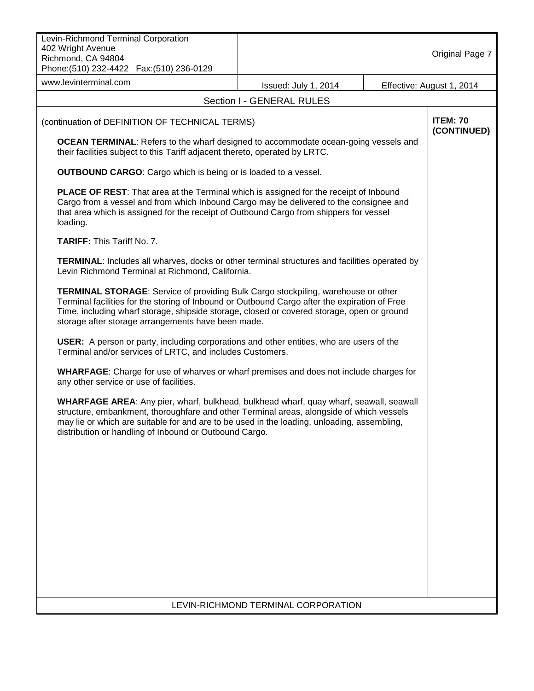| 402 Wright Avenue<br>Richmond, CA 94804<br>Phone: (510) 232-4422  Fax: (510) 236-0129                                                                                                                                                                                                                                                                                                                                                                                                                                                                                                                                                                                                                                                                                                                                                                                                                                                                                                                                                                                                                                                                                                                                                                                                                                                                                                                                                                                                                                                                                                                                                                                                                                                                                                                       | Original Page 7                |
|-------------------------------------------------------------------------------------------------------------------------------------------------------------------------------------------------------------------------------------------------------------------------------------------------------------------------------------------------------------------------------------------------------------------------------------------------------------------------------------------------------------------------------------------------------------------------------------------------------------------------------------------------------------------------------------------------------------------------------------------------------------------------------------------------------------------------------------------------------------------------------------------------------------------------------------------------------------------------------------------------------------------------------------------------------------------------------------------------------------------------------------------------------------------------------------------------------------------------------------------------------------------------------------------------------------------------------------------------------------------------------------------------------------------------------------------------------------------------------------------------------------------------------------------------------------------------------------------------------------------------------------------------------------------------------------------------------------------------------------------------------------------------------------------------------------|--------------------------------|
| www.levinterminal.com<br>Issued: July 1, 2014                                                                                                                                                                                                                                                                                                                                                                                                                                                                                                                                                                                                                                                                                                                                                                                                                                                                                                                                                                                                                                                                                                                                                                                                                                                                                                                                                                                                                                                                                                                                                                                                                                                                                                                                                               | Effective: August 1, 2014      |
| Section I - GENERAL RULES                                                                                                                                                                                                                                                                                                                                                                                                                                                                                                                                                                                                                                                                                                                                                                                                                                                                                                                                                                                                                                                                                                                                                                                                                                                                                                                                                                                                                                                                                                                                                                                                                                                                                                                                                                                   |                                |
| (continuation of DEFINITION OF TECHNICAL TERMS)<br><b>OCEAN TERMINAL:</b> Refers to the wharf designed to accommodate ocean-going vessels and<br>their facilities subject to this Tariff adjacent thereto, operated by LRTC.<br><b>OUTBOUND CARGO:</b> Cargo which is being or is loaded to a vessel.<br><b>PLACE OF REST:</b> That area at the Terminal which is assigned for the receipt of Inbound<br>Cargo from a vessel and from which Inbound Cargo may be delivered to the consignee and<br>that area which is assigned for the receipt of Outbound Cargo from shippers for vessel<br>loading.<br>TARIFF: This Tariff No. 7.<br><b>TERMINAL:</b> Includes all wharves, docks or other terminal structures and facilities operated by<br>Levin Richmond Terminal at Richmond, California.<br><b>TERMINAL STORAGE:</b> Service of providing Bulk Cargo stockpiling, warehouse or other<br>Terminal facilities for the storing of Inbound or Outbound Cargo after the expiration of Free<br>Time, including wharf storage, shipside storage, closed or covered storage, open or ground<br>storage after storage arrangements have been made.<br><b>USER:</b> A person or party, including corporations and other entities, who are users of the<br>Terminal and/or services of LRTC, and includes Customers.<br><b>WHARFAGE:</b> Charge for use of wharves or wharf premises and does not include charges for<br>any other service or use of facilities.<br>WHARFAGE AREA: Any pier, wharf, bulkhead, bulkhead wharf, quay wharf, seawall, seawall<br>structure, embankment, thoroughfare and other Terminal areas, alongside of which vessels<br>may lie or which are suitable for and are to be used in the loading, unloading, assembling,<br>distribution or handling of Inbound or Outbound Cargo. | <b>ITEM: 70</b><br>(CONTINUED) |
|                                                                                                                                                                                                                                                                                                                                                                                                                                                                                                                                                                                                                                                                                                                                                                                                                                                                                                                                                                                                                                                                                                                                                                                                                                                                                                                                                                                                                                                                                                                                                                                                                                                                                                                                                                                                             |                                |
| LEVIN-RICHMOND TERMINAL CORPORATION                                                                                                                                                                                                                                                                                                                                                                                                                                                                                                                                                                                                                                                                                                                                                                                                                                                                                                                                                                                                                                                                                                                                                                                                                                                                                                                                                                                                                                                                                                                                                                                                                                                                                                                                                                         |                                |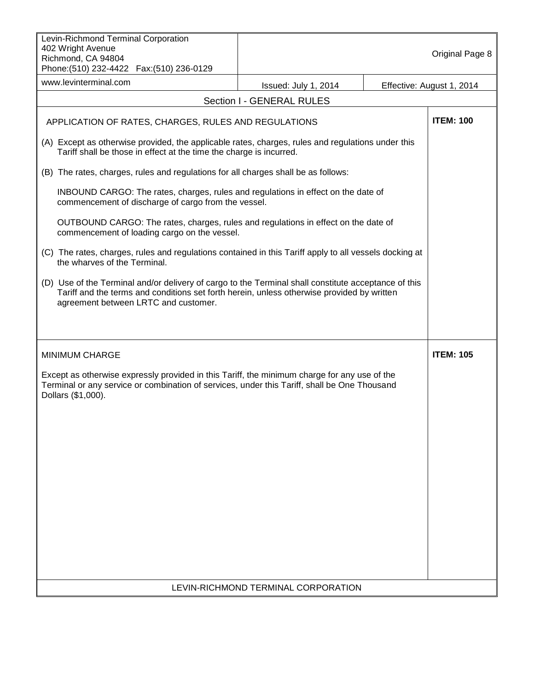| Levin-Richmond Terminal Corporation<br>402 Wright Avenue<br>Richmond, CA 94804<br>Phone: (510) 232-4422  Fax: (510) 236-0129                                                                                                               |                                     |  | Original Page 8           |  |
|--------------------------------------------------------------------------------------------------------------------------------------------------------------------------------------------------------------------------------------------|-------------------------------------|--|---------------------------|--|
| www.levinterminal.com                                                                                                                                                                                                                      | Issued: July 1, 2014                |  | Effective: August 1, 2014 |  |
|                                                                                                                                                                                                                                            | Section I - GENERAL RULES           |  |                           |  |
| APPLICATION OF RATES, CHARGES, RULES AND REGULATIONS                                                                                                                                                                                       |                                     |  | <b>ITEM: 100</b>          |  |
| (A) Except as otherwise provided, the applicable rates, charges, rules and regulations under this<br>Tariff shall be those in effect at the time the charge is incurred.                                                                   |                                     |  |                           |  |
| (B) The rates, charges, rules and regulations for all charges shall be as follows:                                                                                                                                                         |                                     |  |                           |  |
| INBOUND CARGO: The rates, charges, rules and regulations in effect on the date of<br>commencement of discharge of cargo from the vessel.                                                                                                   |                                     |  |                           |  |
| OUTBOUND CARGO: The rates, charges, rules and regulations in effect on the date of<br>commencement of loading cargo on the vessel.                                                                                                         |                                     |  |                           |  |
| (C) The rates, charges, rules and regulations contained in this Tariff apply to all vessels docking at<br>the wharves of the Terminal.                                                                                                     |                                     |  |                           |  |
| (D) Use of the Terminal and/or delivery of cargo to the Terminal shall constitute acceptance of this<br>Tariff and the terms and conditions set forth herein, unless otherwise provided by written<br>agreement between LRTC and customer. |                                     |  |                           |  |
| <b>MINIMUM CHARGE</b>                                                                                                                                                                                                                      | <b>ITEM: 105</b>                    |  |                           |  |
| Except as otherwise expressly provided in this Tariff, the minimum charge for any use of the<br>Terminal or any service or combination of services, under this Tariff, shall be One Thousand<br>Dollars (\$1,000).                         |                                     |  |                           |  |
|                                                                                                                                                                                                                                            |                                     |  |                           |  |
|                                                                                                                                                                                                                                            |                                     |  |                           |  |
|                                                                                                                                                                                                                                            |                                     |  |                           |  |
|                                                                                                                                                                                                                                            |                                     |  |                           |  |
|                                                                                                                                                                                                                                            |                                     |  |                           |  |
|                                                                                                                                                                                                                                            |                                     |  |                           |  |
|                                                                                                                                                                                                                                            | LEVIN-RICHMOND TERMINAL CORPORATION |  |                           |  |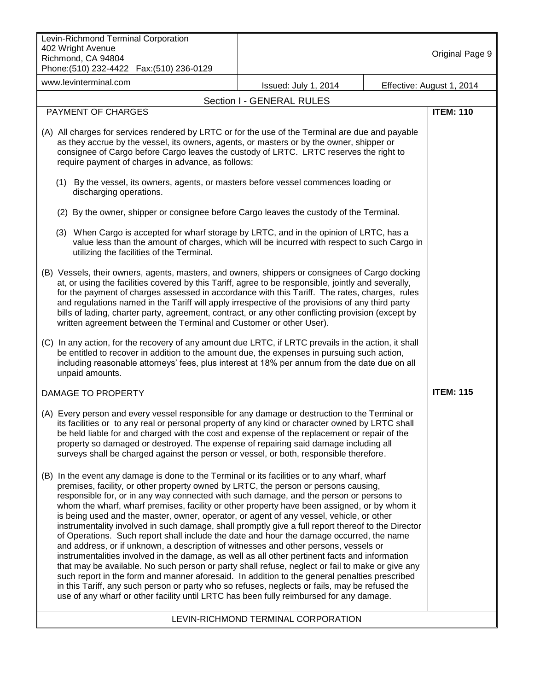| Levin-Richmond Terminal Corporation<br>402 Wright Avenue<br>Richmond, CA 94804<br>Phone: (510) 232-4422  Fax: (510) 236-0129                                                                                                                                                                                                                                                                                                                                                                                                                                                                                                                                                                                                                                                                                                                                                                                                                                                                                                                                                                                                                                                                                                                                                |                                     |  | Original Page 9           |
|-----------------------------------------------------------------------------------------------------------------------------------------------------------------------------------------------------------------------------------------------------------------------------------------------------------------------------------------------------------------------------------------------------------------------------------------------------------------------------------------------------------------------------------------------------------------------------------------------------------------------------------------------------------------------------------------------------------------------------------------------------------------------------------------------------------------------------------------------------------------------------------------------------------------------------------------------------------------------------------------------------------------------------------------------------------------------------------------------------------------------------------------------------------------------------------------------------------------------------------------------------------------------------|-------------------------------------|--|---------------------------|
| www.levinterminal.com                                                                                                                                                                                                                                                                                                                                                                                                                                                                                                                                                                                                                                                                                                                                                                                                                                                                                                                                                                                                                                                                                                                                                                                                                                                       | Issued: July 1, 2014                |  | Effective: August 1, 2014 |
|                                                                                                                                                                                                                                                                                                                                                                                                                                                                                                                                                                                                                                                                                                                                                                                                                                                                                                                                                                                                                                                                                                                                                                                                                                                                             | Section I - GENERAL RULES           |  |                           |
| PAYMENT OF CHARGES                                                                                                                                                                                                                                                                                                                                                                                                                                                                                                                                                                                                                                                                                                                                                                                                                                                                                                                                                                                                                                                                                                                                                                                                                                                          |                                     |  | <b>ITEM: 110</b>          |
| (A) All charges for services rendered by LRTC or for the use of the Terminal are due and payable<br>as they accrue by the vessel, its owners, agents, or masters or by the owner, shipper or<br>consignee of Cargo before Cargo leaves the custody of LRTC. LRTC reserves the right to<br>require payment of charges in advance, as follows:                                                                                                                                                                                                                                                                                                                                                                                                                                                                                                                                                                                                                                                                                                                                                                                                                                                                                                                                |                                     |  |                           |
| (1) By the vessel, its owners, agents, or masters before vessel commences loading or<br>discharging operations.                                                                                                                                                                                                                                                                                                                                                                                                                                                                                                                                                                                                                                                                                                                                                                                                                                                                                                                                                                                                                                                                                                                                                             |                                     |  |                           |
| (2) By the owner, shipper or consignee before Cargo leaves the custody of the Terminal.                                                                                                                                                                                                                                                                                                                                                                                                                                                                                                                                                                                                                                                                                                                                                                                                                                                                                                                                                                                                                                                                                                                                                                                     |                                     |  |                           |
| (3) When Cargo is accepted for wharf storage by LRTC, and in the opinion of LRTC, has a<br>value less than the amount of charges, which will be incurred with respect to such Cargo in<br>utilizing the facilities of the Terminal.                                                                                                                                                                                                                                                                                                                                                                                                                                                                                                                                                                                                                                                                                                                                                                                                                                                                                                                                                                                                                                         |                                     |  |                           |
| (B) Vessels, their owners, agents, masters, and owners, shippers or consignees of Cargo docking<br>at, or using the facilities covered by this Tariff, agree to be responsible, jointly and severally,<br>for the payment of charges assessed in accordance with this Tariff. The rates, charges, rules<br>and regulations named in the Tariff will apply irrespective of the provisions of any third party<br>bills of lading, charter party, agreement, contract, or any other conflicting provision (except by<br>written agreement between the Terminal and Customer or other User).                                                                                                                                                                                                                                                                                                                                                                                                                                                                                                                                                                                                                                                                                    |                                     |  |                           |
| (C) In any action, for the recovery of any amount due LRTC, if LRTC prevails in the action, it shall<br>be entitled to recover in addition to the amount due, the expenses in pursuing such action,<br>including reasonable attorneys' fees, plus interest at 18% per annum from the date due on all<br>unpaid amounts.                                                                                                                                                                                                                                                                                                                                                                                                                                                                                                                                                                                                                                                                                                                                                                                                                                                                                                                                                     |                                     |  |                           |
| <b>DAMAGE TO PROPERTY</b>                                                                                                                                                                                                                                                                                                                                                                                                                                                                                                                                                                                                                                                                                                                                                                                                                                                                                                                                                                                                                                                                                                                                                                                                                                                   |                                     |  | <b>ITEM: 115</b>          |
| (A) Every person and every vessel responsible for any damage or destruction to the Terminal or<br>its facilities or to any real or personal property of any kind or character owned by LRTC shall<br>be held liable for and charged with the cost and expense of the replacement or repair of the<br>property so damaged or destroyed. The expense of repairing said damage including all<br>surveys shall be charged against the person or vessel, or both, responsible therefore.                                                                                                                                                                                                                                                                                                                                                                                                                                                                                                                                                                                                                                                                                                                                                                                         |                                     |  |                           |
| In the event any damage is done to the Terminal or its facilities or to any wharf, wharf<br>(B)<br>premises, facility, or other property owned by LRTC, the person or persons causing,<br>responsible for, or in any way connected with such damage, and the person or persons to<br>whom the wharf, wharf premises, facility or other property have been assigned, or by whom it<br>is being used and the master, owner, operator, or agent of any vessel, vehicle, or other<br>instrumentality involved in such damage, shall promptly give a full report thereof to the Director<br>of Operations. Such report shall include the date and hour the damage occurred, the name<br>and address, or if unknown, a description of witnesses and other persons, vessels or<br>instrumentalities involved in the damage, as well as all other pertinent facts and information<br>that may be available. No such person or party shall refuse, neglect or fail to make or give any<br>such report in the form and manner aforesaid. In addition to the general penalties prescribed<br>in this Tariff, any such person or party who so refuses, neglects or fails, may be refused the<br>use of any wharf or other facility until LRTC has been fully reimbursed for any damage. |                                     |  |                           |
|                                                                                                                                                                                                                                                                                                                                                                                                                                                                                                                                                                                                                                                                                                                                                                                                                                                                                                                                                                                                                                                                                                                                                                                                                                                                             | LEVIN-RICHMOND TERMINAL CORPORATION |  |                           |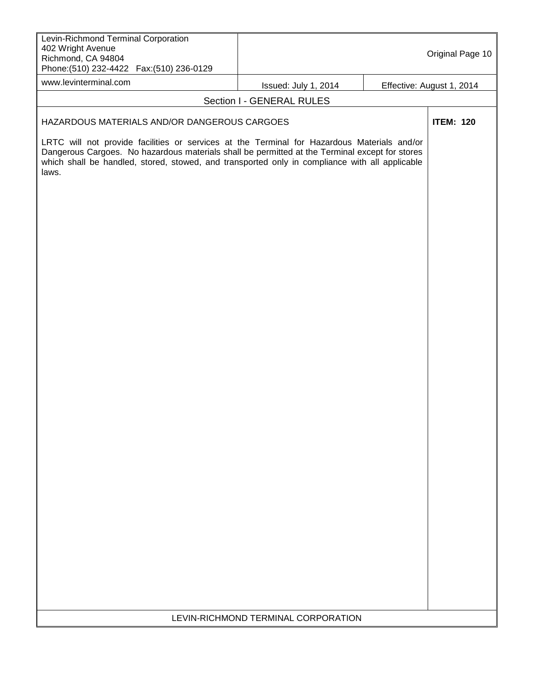| Levin-Richmond Terminal Corporation<br>402 Wright Avenue<br>Richmond, CA 94804<br>Phone: (510) 232-4422    Fax: (510) 236-0129                                                                                                                                                                           |                                     | Original Page 10          |
|----------------------------------------------------------------------------------------------------------------------------------------------------------------------------------------------------------------------------------------------------------------------------------------------------------|-------------------------------------|---------------------------|
| www.levinterminal.com                                                                                                                                                                                                                                                                                    | Issued: July 1, 2014                | Effective: August 1, 2014 |
|                                                                                                                                                                                                                                                                                                          | Section I - GENERAL RULES           |                           |
| HAZARDOUS MATERIALS AND/OR DANGEROUS CARGOES                                                                                                                                                                                                                                                             |                                     | <b>ITEM: 120</b>          |
| LRTC will not provide facilities or services at the Terminal for Hazardous Materials and/or<br>Dangerous Cargoes. No hazardous materials shall be permitted at the Terminal except for stores<br>which shall be handled, stored, stowed, and transported only in compliance with all applicable<br>laws. |                                     |                           |
|                                                                                                                                                                                                                                                                                                          |                                     |                           |
|                                                                                                                                                                                                                                                                                                          | LEVIN-RICHMOND TERMINAL CORPORATION |                           |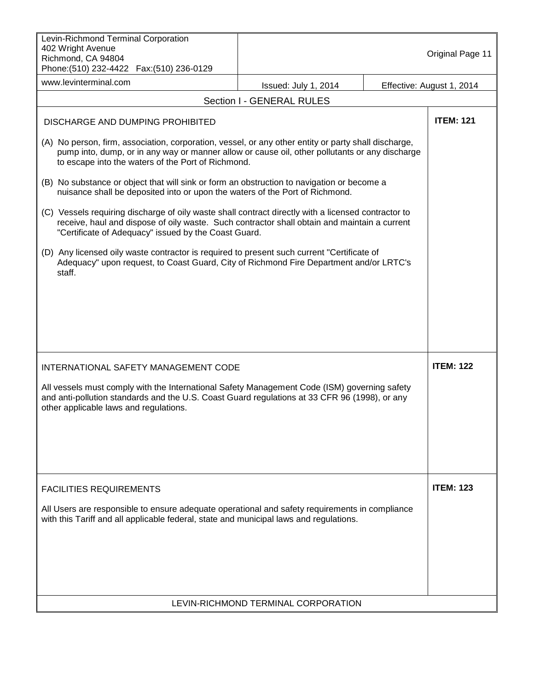| Levin-Richmond Terminal Corporation<br>402 Wright Avenue<br>Richmond, CA 94804<br>Phone: (510) 232-4422    Fax: (510) 236-0129                                                                                                                               |                                     | Original Page 11          |
|--------------------------------------------------------------------------------------------------------------------------------------------------------------------------------------------------------------------------------------------------------------|-------------------------------------|---------------------------|
| www.levinterminal.com                                                                                                                                                                                                                                        | Issued: July 1, 2014                | Effective: August 1, 2014 |
|                                                                                                                                                                                                                                                              | Section I - GENERAL RULES           |                           |
| DISCHARGE AND DUMPING PROHIBITED                                                                                                                                                                                                                             |                                     | <b>ITEM: 121</b>          |
| (A) No person, firm, association, corporation, vessel, or any other entity or party shall discharge,<br>pump into, dump, or in any way or manner allow or cause oil, other pollutants or any discharge<br>to escape into the waters of the Port of Richmond. |                                     |                           |
| (B) No substance or object that will sink or form an obstruction to navigation or become a<br>nuisance shall be deposited into or upon the waters of the Port of Richmond.                                                                                   |                                     |                           |
| (C) Vessels requiring discharge of oily waste shall contract directly with a licensed contractor to<br>receive, haul and dispose of oily waste. Such contractor shall obtain and maintain a current<br>"Certificate of Adequacy" issued by the Coast Guard.  |                                     |                           |
| (D) Any licensed oily waste contractor is required to present such current "Certificate of<br>Adequacy" upon request, to Coast Guard, City of Richmond Fire Department and/or LRTC's<br>staff.                                                               |                                     |                           |
|                                                                                                                                                                                                                                                              |                                     |                           |
|                                                                                                                                                                                                                                                              |                                     |                           |
|                                                                                                                                                                                                                                                              |                                     |                           |
| INTERNATIONAL SAFETY MANAGEMENT CODE                                                                                                                                                                                                                         |                                     | <b>ITEM: 122</b>          |
| All vessels must comply with the International Safety Management Code (ISM) governing safety<br>and anti-pollution standards and the U.S. Coast Guard regulations at 33 CFR 96 (1998), or any<br>other applicable laws and regulations.                      |                                     |                           |
|                                                                                                                                                                                                                                                              |                                     |                           |
|                                                                                                                                                                                                                                                              |                                     |                           |
| <b>FACILITIES REQUIREMENTS</b>                                                                                                                                                                                                                               |                                     | <b>ITEM: 123</b>          |
| All Users are responsible to ensure adequate operational and safety requirements in compliance<br>with this Tariff and all applicable federal, state and municipal laws and regulations.                                                                     |                                     |                           |
|                                                                                                                                                                                                                                                              |                                     |                           |
|                                                                                                                                                                                                                                                              |                                     |                           |
|                                                                                                                                                                                                                                                              | LEVIN-RICHMOND TERMINAL CORPORATION |                           |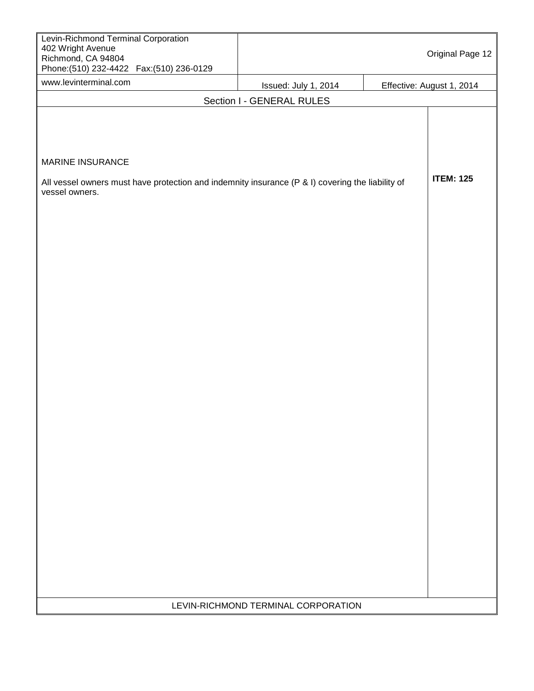| Levin-Richmond Terminal Corporation<br>402 Wright Avenue<br>Richmond, CA 94804<br>Phone: (510) 232-4422  Fax: (510) 236-0129                  |                                              | Original Page 12          |
|-----------------------------------------------------------------------------------------------------------------------------------------------|----------------------------------------------|---------------------------|
| www.levinterminal.com                                                                                                                         | Issued: July 1, 2014                         | Effective: August 1, 2014 |
|                                                                                                                                               | Section I - GENERAL RULES                    |                           |
| <b>MARINE INSURANCE</b><br>All vessel owners must have protection and indemnity insurance (P & I) covering the liability of<br>vessel owners. |                                              | <b>ITEM: 125</b>          |
|                                                                                                                                               |                                              |                           |
|                                                                                                                                               |                                              |                           |
|                                                                                                                                               | <b>I EVINI DIOUMOND TEDMINAL CORRODATION</b> |                           |

LEVIN-RICHMOND TERMINAL CORPORATION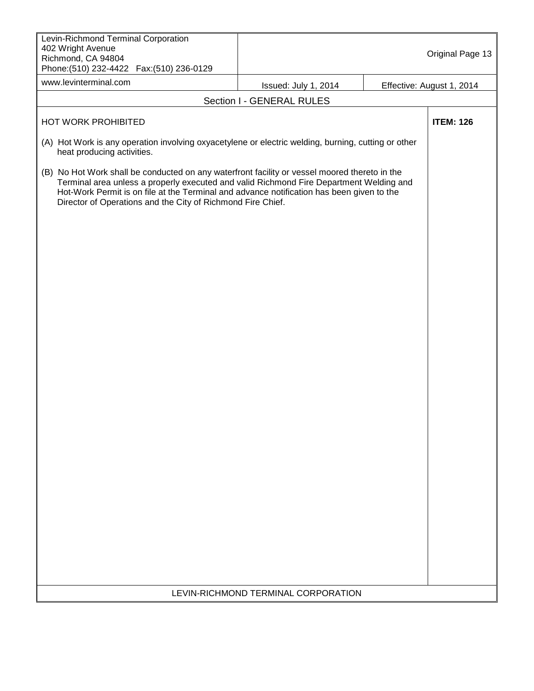| Levin-Richmond Terminal Corporation<br>402 Wright Avenue<br>Richmond, CA 94804<br>Phone: (510) 232-4422    Fax: (510) 236-0129                                                                                                                                                                                                                       |                                     | Original Page 13          |
|------------------------------------------------------------------------------------------------------------------------------------------------------------------------------------------------------------------------------------------------------------------------------------------------------------------------------------------------------|-------------------------------------|---------------------------|
| www.levinterminal.com                                                                                                                                                                                                                                                                                                                                | Issued: July 1, 2014                | Effective: August 1, 2014 |
|                                                                                                                                                                                                                                                                                                                                                      | Section I - GENERAL RULES           |                           |
| HOT WORK PROHIBITED                                                                                                                                                                                                                                                                                                                                  |                                     | <b>ITEM: 126</b>          |
| (A) Hot Work is any operation involving oxyacetylene or electric welding, burning, cutting or other<br>heat producing activities.                                                                                                                                                                                                                    |                                     |                           |
| (B) No Hot Work shall be conducted on any waterfront facility or vessel moored thereto in the<br>Terminal area unless a properly executed and valid Richmond Fire Department Welding and<br>Hot-Work Permit is on file at the Terminal and advance notification has been given to the<br>Director of Operations and the City of Richmond Fire Chief. |                                     |                           |
|                                                                                                                                                                                                                                                                                                                                                      |                                     |                           |
|                                                                                                                                                                                                                                                                                                                                                      |                                     |                           |
|                                                                                                                                                                                                                                                                                                                                                      |                                     |                           |
|                                                                                                                                                                                                                                                                                                                                                      |                                     |                           |
|                                                                                                                                                                                                                                                                                                                                                      | LEVIN-RICHMOND TERMINAL CORPORATION |                           |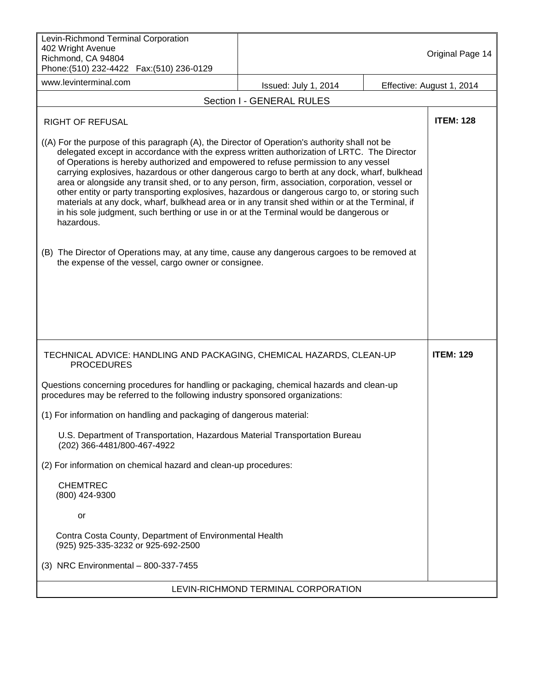| Levin-Richmond Terminal Corporation<br>402 Wright Avenue<br>Richmond, CA 94804<br>Phone: (510) 232-4422  Fax: (510) 236-0129                                                                                                                                                                                                                                                                                                                                                                                                                                                                                                                                                                                                                                                                                                                                                                             |                                     | Original Page 14          |
|----------------------------------------------------------------------------------------------------------------------------------------------------------------------------------------------------------------------------------------------------------------------------------------------------------------------------------------------------------------------------------------------------------------------------------------------------------------------------------------------------------------------------------------------------------------------------------------------------------------------------------------------------------------------------------------------------------------------------------------------------------------------------------------------------------------------------------------------------------------------------------------------------------|-------------------------------------|---------------------------|
| www.levinterminal.com                                                                                                                                                                                                                                                                                                                                                                                                                                                                                                                                                                                                                                                                                                                                                                                                                                                                                    | Issued: July 1, 2014                | Effective: August 1, 2014 |
|                                                                                                                                                                                                                                                                                                                                                                                                                                                                                                                                                                                                                                                                                                                                                                                                                                                                                                          | Section I - GENERAL RULES           |                           |
| RIGHT OF REFUSAL                                                                                                                                                                                                                                                                                                                                                                                                                                                                                                                                                                                                                                                                                                                                                                                                                                                                                         |                                     | <b>ITEM: 128</b>          |
| ((A) For the purpose of this paragraph (A), the Director of Operation's authority shall not be<br>delegated except in accordance with the express written authorization of LRTC. The Director<br>of Operations is hereby authorized and empowered to refuse permission to any vessel<br>carrying explosives, hazardous or other dangerous cargo to berth at any dock, wharf, bulkhead<br>area or alongside any transit shed, or to any person, firm, association, corporation, vessel or<br>other entity or party transporting explosives, hazardous or dangerous cargo to, or storing such<br>materials at any dock, wharf, bulkhead area or in any transit shed within or at the Terminal, if<br>in his sole judgment, such berthing or use in or at the Terminal would be dangerous or<br>hazardous.<br>(B) The Director of Operations may, at any time, cause any dangerous cargoes to be removed at |                                     |                           |
| the expense of the vessel, cargo owner or consignee.                                                                                                                                                                                                                                                                                                                                                                                                                                                                                                                                                                                                                                                                                                                                                                                                                                                     |                                     |                           |
| TECHNICAL ADVICE: HANDLING AND PACKAGING, CHEMICAL HAZARDS, CLEAN-UP<br><b>PROCEDURES</b>                                                                                                                                                                                                                                                                                                                                                                                                                                                                                                                                                                                                                                                                                                                                                                                                                |                                     | <b>ITEM: 129</b>          |
| Questions concerning procedures for handling or packaging, chemical hazards and clean-up<br>procedures may be referred to the following industry sponsored organizations:                                                                                                                                                                                                                                                                                                                                                                                                                                                                                                                                                                                                                                                                                                                                |                                     |                           |
| (1) For information on handling and packaging of dangerous material:                                                                                                                                                                                                                                                                                                                                                                                                                                                                                                                                                                                                                                                                                                                                                                                                                                     |                                     |                           |
| U.S. Department of Transportation, Hazardous Material Transportation Bureau<br>(202) 366-4481/800-467-4922                                                                                                                                                                                                                                                                                                                                                                                                                                                                                                                                                                                                                                                                                                                                                                                               |                                     |                           |
| (2) For information on chemical hazard and clean-up procedures:                                                                                                                                                                                                                                                                                                                                                                                                                                                                                                                                                                                                                                                                                                                                                                                                                                          |                                     |                           |
| <b>CHEMTREC</b><br>(800) 424-9300                                                                                                                                                                                                                                                                                                                                                                                                                                                                                                                                                                                                                                                                                                                                                                                                                                                                        |                                     |                           |
| or                                                                                                                                                                                                                                                                                                                                                                                                                                                                                                                                                                                                                                                                                                                                                                                                                                                                                                       |                                     |                           |
| Contra Costa County, Department of Environmental Health<br>(925) 925-335-3232 or 925-692-2500                                                                                                                                                                                                                                                                                                                                                                                                                                                                                                                                                                                                                                                                                                                                                                                                            |                                     |                           |
| (3) NRC Environmental - 800-337-7455                                                                                                                                                                                                                                                                                                                                                                                                                                                                                                                                                                                                                                                                                                                                                                                                                                                                     |                                     |                           |
|                                                                                                                                                                                                                                                                                                                                                                                                                                                                                                                                                                                                                                                                                                                                                                                                                                                                                                          | LEVIN-RICHMOND TERMINAL CORPORATION |                           |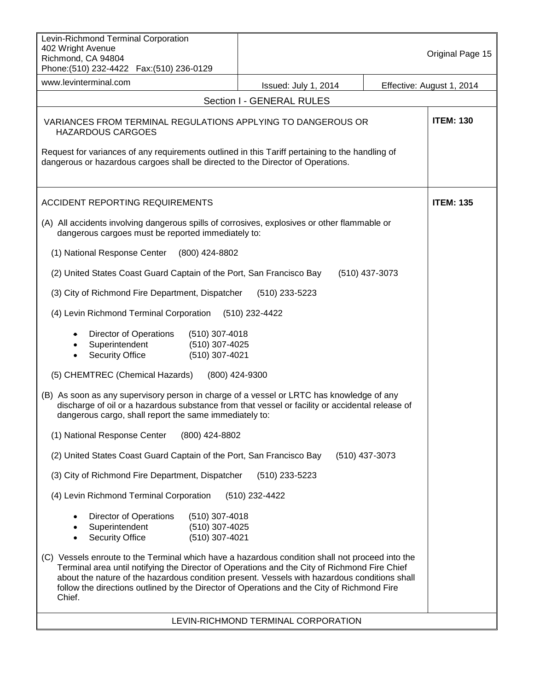| Levin-Richmond Terminal Corporation<br>402 Wright Avenue<br>Richmond, CA 94804<br>Phone: (510) 232-4422    Fax: (510) 236-0129                                                                                                                                                                                                                                                                          |                                     | Original Page 15          |
|---------------------------------------------------------------------------------------------------------------------------------------------------------------------------------------------------------------------------------------------------------------------------------------------------------------------------------------------------------------------------------------------------------|-------------------------------------|---------------------------|
| www.levinterminal.com                                                                                                                                                                                                                                                                                                                                                                                   | Issued: July 1, 2014                | Effective: August 1, 2014 |
|                                                                                                                                                                                                                                                                                                                                                                                                         | Section I - GENERAL RULES           |                           |
| VARIANCES FROM TERMINAL REGULATIONS APPLYING TO DANGEROUS OR<br><b>HAZARDOUS CARGOES</b><br>Request for variances of any requirements outlined in this Tariff pertaining to the handling of<br>dangerous or hazardous cargoes shall be directed to the Director of Operations.                                                                                                                          |                                     | <b>ITEM: 130</b>          |
| <b>ACCIDENT REPORTING REQUIREMENTS</b>                                                                                                                                                                                                                                                                                                                                                                  |                                     | <b>ITEM: 135</b>          |
| (A) All accidents involving dangerous spills of corrosives, explosives or other flammable or<br>dangerous cargoes must be reported immediately to:                                                                                                                                                                                                                                                      |                                     |                           |
| (1) National Response Center<br>(800) 424-8802                                                                                                                                                                                                                                                                                                                                                          |                                     |                           |
| (2) United States Coast Guard Captain of the Port, San Francisco Bay                                                                                                                                                                                                                                                                                                                                    | (510) 437-3073                      |                           |
| (3) City of Richmond Fire Department, Dispatcher                                                                                                                                                                                                                                                                                                                                                        | (510) 233-5223                      |                           |
| (4) Levin Richmond Terminal Corporation                                                                                                                                                                                                                                                                                                                                                                 | (510) 232-4422                      |                           |
| Director of Operations<br>$(510)$ 307-4018<br>Superintendent<br>(510) 307-4025<br>(510) 307-4021<br><b>Security Office</b>                                                                                                                                                                                                                                                                              |                                     |                           |
| (5) CHEMTREC (Chemical Hazards)                                                                                                                                                                                                                                                                                                                                                                         | (800) 424-9300                      |                           |
| (B) As soon as any supervisory person in charge of a vessel or LRTC has knowledge of any<br>discharge of oil or a hazardous substance from that vessel or facility or accidental release of<br>dangerous cargo, shall report the same immediately to:                                                                                                                                                   |                                     |                           |
| (1) National Response Center<br>(800) 424-8802                                                                                                                                                                                                                                                                                                                                                          |                                     |                           |
| (2) United States Coast Guard Captain of the Port, San Francisco Bay                                                                                                                                                                                                                                                                                                                                    | $(510)$ 437-3073                    |                           |
| (3) City of Richmond Fire Department, Dispatcher                                                                                                                                                                                                                                                                                                                                                        | $(510)$ 233-5223                    |                           |
| (4) Levin Richmond Terminal Corporation                                                                                                                                                                                                                                                                                                                                                                 | (510) 232-4422                      |                           |
| Director of Operations<br>$(510)$ 307-4018<br>Superintendent<br>(510) 307-4025                                                                                                                                                                                                                                                                                                                          |                                     |                           |
| <b>Security Office</b><br>(510) 307-4021<br>$\bullet$                                                                                                                                                                                                                                                                                                                                                   |                                     |                           |
| (C) Vessels enroute to the Terminal which have a hazardous condition shall not proceed into the<br>Terminal area until notifying the Director of Operations and the City of Richmond Fire Chief<br>about the nature of the hazardous condition present. Vessels with hazardous conditions shall<br>follow the directions outlined by the Director of Operations and the City of Richmond Fire<br>Chief. |                                     |                           |
|                                                                                                                                                                                                                                                                                                                                                                                                         | LEVIN-RICHMOND TERMINAL CORPORATION |                           |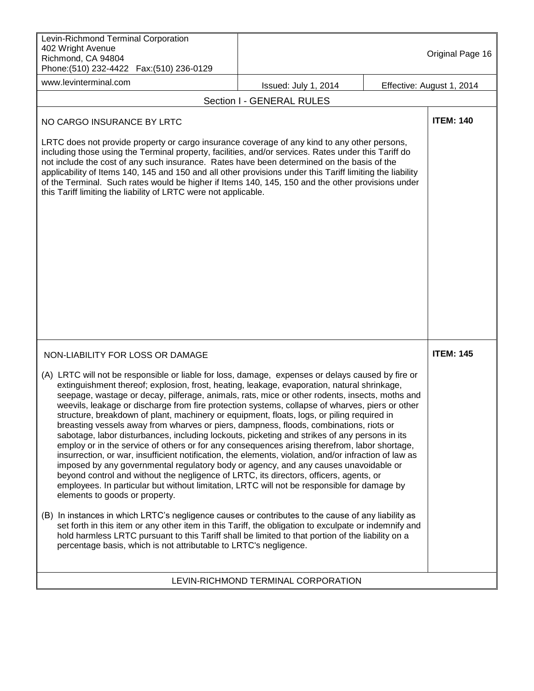| Levin-Richmond Terminal Corporation<br>402 Wright Avenue<br>Richmond, CA 94804<br>Phone: (510) 232-4422  Fax: (510) 236-0129                                                                                                                                                                                                                                                                                                                                                                                                                                                                                                                                                                                                                                                                                                                                                                                                                                                                                                                                                                                                                                                                                                                                                                                                                                                                                                               |                                     | Original Page 16          |
|--------------------------------------------------------------------------------------------------------------------------------------------------------------------------------------------------------------------------------------------------------------------------------------------------------------------------------------------------------------------------------------------------------------------------------------------------------------------------------------------------------------------------------------------------------------------------------------------------------------------------------------------------------------------------------------------------------------------------------------------------------------------------------------------------------------------------------------------------------------------------------------------------------------------------------------------------------------------------------------------------------------------------------------------------------------------------------------------------------------------------------------------------------------------------------------------------------------------------------------------------------------------------------------------------------------------------------------------------------------------------------------------------------------------------------------------|-------------------------------------|---------------------------|
| www.levinterminal.com                                                                                                                                                                                                                                                                                                                                                                                                                                                                                                                                                                                                                                                                                                                                                                                                                                                                                                                                                                                                                                                                                                                                                                                                                                                                                                                                                                                                                      | Issued: July 1, 2014                | Effective: August 1, 2014 |
|                                                                                                                                                                                                                                                                                                                                                                                                                                                                                                                                                                                                                                                                                                                                                                                                                                                                                                                                                                                                                                                                                                                                                                                                                                                                                                                                                                                                                                            | Section I - GENERAL RULES           |                           |
| NO CARGO INSURANCE BY LRTC<br>LRTC does not provide property or cargo insurance coverage of any kind to any other persons,<br>including those using the Terminal property, facilities, and/or services. Rates under this Tariff do<br>not include the cost of any such insurance. Rates have been determined on the basis of the<br>applicability of Items 140, 145 and 150 and all other provisions under this Tariff limiting the liability<br>of the Terminal. Such rates would be higher if Items 140, 145, 150 and the other provisions under<br>this Tariff limiting the liability of LRTC were not applicable.                                                                                                                                                                                                                                                                                                                                                                                                                                                                                                                                                                                                                                                                                                                                                                                                                      |                                     | <b>ITEM: 140</b>          |
|                                                                                                                                                                                                                                                                                                                                                                                                                                                                                                                                                                                                                                                                                                                                                                                                                                                                                                                                                                                                                                                                                                                                                                                                                                                                                                                                                                                                                                            |                                     |                           |
| NON-LIABILITY FOR LOSS OR DAMAGE                                                                                                                                                                                                                                                                                                                                                                                                                                                                                                                                                                                                                                                                                                                                                                                                                                                                                                                                                                                                                                                                                                                                                                                                                                                                                                                                                                                                           |                                     | <b>ITEM: 145</b>          |
| (A) LRTC will not be responsible or liable for loss, damage, expenses or delays caused by fire or<br>extinguishment thereof; explosion, frost, heating, leakage, evaporation, natural shrinkage,<br>seepage, wastage or decay, pilferage, animals, rats, mice or other rodents, insects, moths and<br>weevils, leakage or discharge from fire protection systems, collapse of wharves, piers or other<br>structure, breakdown of plant, machinery or equipment, floats, logs, or piling required in<br>breasting vessels away from wharves or piers, dampness, floods, combinations, riots or<br>sabotage, labor disturbances, including lockouts, picketing and strikes of any persons in its<br>employ or in the service of others or for any consequences arising therefrom, labor shortage,<br>insurrection, or war, insufficient notification, the elements, violation, and/or infraction of law as<br>imposed by any governmental regulatory body or agency, and any causes unavoidable or<br>beyond control and without the negligence of LRTC, its directors, officers, agents, or<br>employees. In particular but without limitation, LRTC will not be responsible for damage by<br>elements to goods or property.<br>(B) In instances in which LRTC's negligence causes or contributes to the cause of any liability as<br>set forth in this item or any other item in this Tariff, the obligation to exculpate or indemnify and |                                     |                           |
| hold harmless LRTC pursuant to this Tariff shall be limited to that portion of the liability on a<br>percentage basis, which is not attributable to LRTC's negligence.                                                                                                                                                                                                                                                                                                                                                                                                                                                                                                                                                                                                                                                                                                                                                                                                                                                                                                                                                                                                                                                                                                                                                                                                                                                                     |                                     |                           |
|                                                                                                                                                                                                                                                                                                                                                                                                                                                                                                                                                                                                                                                                                                                                                                                                                                                                                                                                                                                                                                                                                                                                                                                                                                                                                                                                                                                                                                            | LEVIN-RICHMOND TERMINAL CORPORATION |                           |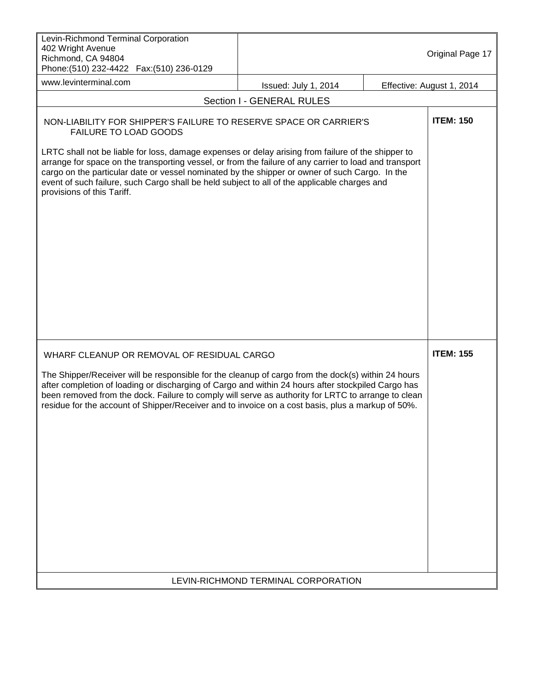| Levin-Richmond Terminal Corporation<br>402 Wright Avenue<br>Richmond, CA 94804<br>Phone: (510) 232-4422  Fax: (510) 236-0129                                                                                                                                                                                                                                                                                                                                                                                                                      |                                     | Original Page 17          |
|---------------------------------------------------------------------------------------------------------------------------------------------------------------------------------------------------------------------------------------------------------------------------------------------------------------------------------------------------------------------------------------------------------------------------------------------------------------------------------------------------------------------------------------------------|-------------------------------------|---------------------------|
| www.levinterminal.com                                                                                                                                                                                                                                                                                                                                                                                                                                                                                                                             | Issued: July 1, 2014                | Effective: August 1, 2014 |
|                                                                                                                                                                                                                                                                                                                                                                                                                                                                                                                                                   | Section I - GENERAL RULES           |                           |
| NON-LIABILITY FOR SHIPPER'S FAILURE TO RESERVE SPACE OR CARRIER'S<br><b>FAILURE TO LOAD GOODS</b><br>LRTC shall not be liable for loss, damage expenses or delay arising from failure of the shipper to<br>arrange for space on the transporting vessel, or from the failure of any carrier to load and transport<br>cargo on the particular date or vessel nominated by the shipper or owner of such Cargo. In the<br>event of such failure, such Cargo shall be held subject to all of the applicable charges and<br>provisions of this Tariff. |                                     | <b>ITEM: 150</b>          |
| WHARF CLEANUP OR REMOVAL OF RESIDUAL CARGO<br>The Shipper/Receiver will be responsible for the cleanup of cargo from the dock(s) within 24 hours<br>after completion of loading or discharging of Cargo and within 24 hours after stockpiled Cargo has<br>been removed from the dock. Failure to comply will serve as authority for LRTC to arrange to clean<br>residue for the account of Shipper/Receiver and to invoice on a cost basis, plus a markup of 50%.                                                                                 | LEVIN-RICHMOND TERMINAL CORPORATION | <b>ITEM: 155</b>          |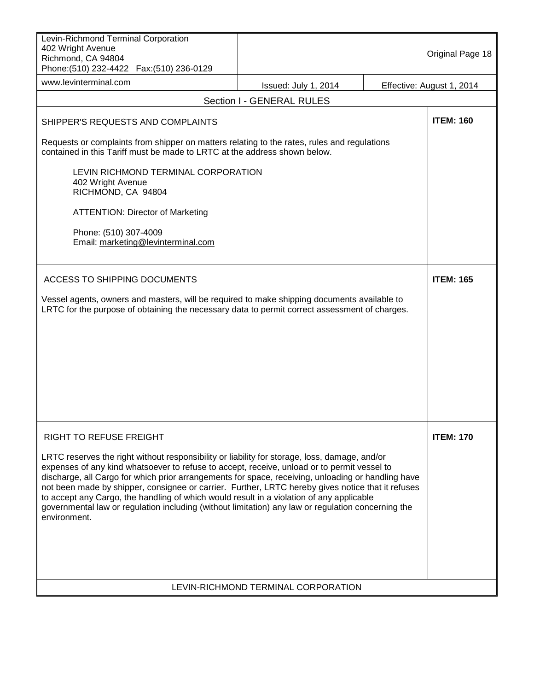| Levin-Richmond Terminal Corporation<br>402 Wright Avenue<br>Richmond, CA 94804<br>Phone: (510) 232-4422  Fax: (510) 236-0129                                                                                                                                                                                                                                                                                                                                                                                                                                                                                              |                                     | Original Page 18          |
|---------------------------------------------------------------------------------------------------------------------------------------------------------------------------------------------------------------------------------------------------------------------------------------------------------------------------------------------------------------------------------------------------------------------------------------------------------------------------------------------------------------------------------------------------------------------------------------------------------------------------|-------------------------------------|---------------------------|
| www.levinterminal.com                                                                                                                                                                                                                                                                                                                                                                                                                                                                                                                                                                                                     | Issued: July 1, 2014                | Effective: August 1, 2014 |
|                                                                                                                                                                                                                                                                                                                                                                                                                                                                                                                                                                                                                           | Section I - GENERAL RULES           |                           |
| SHIPPER'S REQUESTS AND COMPLAINTS                                                                                                                                                                                                                                                                                                                                                                                                                                                                                                                                                                                         |                                     | <b>ITEM: 160</b>          |
| Requests or complaints from shipper on matters relating to the rates, rules and regulations<br>contained in this Tariff must be made to LRTC at the address shown below.                                                                                                                                                                                                                                                                                                                                                                                                                                                  |                                     |                           |
| LEVIN RICHMOND TERMINAL CORPORATION<br>402 Wright Avenue<br>RICHMOND, CA 94804                                                                                                                                                                                                                                                                                                                                                                                                                                                                                                                                            |                                     |                           |
| <b>ATTENTION: Director of Marketing</b>                                                                                                                                                                                                                                                                                                                                                                                                                                                                                                                                                                                   |                                     |                           |
| Phone: (510) 307-4009<br>Email: marketing@levinterminal.com                                                                                                                                                                                                                                                                                                                                                                                                                                                                                                                                                               |                                     |                           |
| <b>ACCESS TO SHIPPING DOCUMENTS</b>                                                                                                                                                                                                                                                                                                                                                                                                                                                                                                                                                                                       |                                     | <b>ITEM: 165</b>          |
| Vessel agents, owners and masters, will be required to make shipping documents available to<br>LRTC for the purpose of obtaining the necessary data to permit correct assessment of charges.                                                                                                                                                                                                                                                                                                                                                                                                                              |                                     |                           |
| <b>RIGHT TO REFUSE FREIGHT</b>                                                                                                                                                                                                                                                                                                                                                                                                                                                                                                                                                                                            |                                     | <b>ITEM: 170</b>          |
| LRTC reserves the right without responsibility or liability for storage, loss, damage, and/or<br>expenses of any kind whatsoever to refuse to accept, receive, unload or to permit vessel to<br>discharge, all Cargo for which prior arrangements for space, receiving, unloading or handling have<br>not been made by shipper, consignee or carrier. Further, LRTC hereby gives notice that it refuses<br>to accept any Cargo, the handling of which would result in a violation of any applicable<br>governmental law or regulation including (without limitation) any law or regulation concerning the<br>environment. |                                     |                           |
|                                                                                                                                                                                                                                                                                                                                                                                                                                                                                                                                                                                                                           | LEVIN-RICHMOND TERMINAL CORPORATION |                           |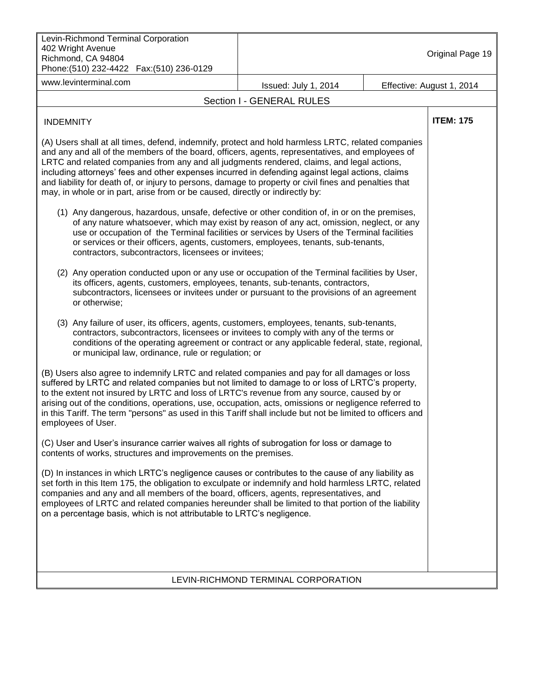| Levin-Richmond Terminal Corporation<br>402 Wright Avenue<br>Richmond, CA 94804<br>Phone: (510) 232-4422    Fax: (510) 236-0129                                                                                                                                                                                                                                                                                                                                                                                                                                                                      |                                     |  | Original Page 19          |
|-----------------------------------------------------------------------------------------------------------------------------------------------------------------------------------------------------------------------------------------------------------------------------------------------------------------------------------------------------------------------------------------------------------------------------------------------------------------------------------------------------------------------------------------------------------------------------------------------------|-------------------------------------|--|---------------------------|
| www.levinterminal.com                                                                                                                                                                                                                                                                                                                                                                                                                                                                                                                                                                               | Issued: July 1, 2014                |  | Effective: August 1, 2014 |
|                                                                                                                                                                                                                                                                                                                                                                                                                                                                                                                                                                                                     | Section I - GENERAL RULES           |  |                           |
| <b>INDEMNITY</b>                                                                                                                                                                                                                                                                                                                                                                                                                                                                                                                                                                                    |                                     |  | <b>ITEM: 175</b>          |
| (A) Users shall at all times, defend, indemnify, protect and hold harmless LRTC, related companies<br>and any and all of the members of the board, officers, agents, representatives, and employees of<br>LRTC and related companies from any and all judgments rendered, claims, and legal actions,<br>including attorneys' fees and other expenses incurred in defending against legal actions, claims<br>and liability for death of, or injury to persons, damage to property or civil fines and penalties that<br>may, in whole or in part, arise from or be caused, directly or indirectly by: |                                     |  |                           |
| (1) Any dangerous, hazardous, unsafe, defective or other condition of, in or on the premises,<br>of any nature whatsoever, which may exist by reason of any act, omission, neglect, or any<br>use or occupation of the Terminal facilities or services by Users of the Terminal facilities<br>or services or their officers, agents, customers, employees, tenants, sub-tenants,<br>contractors, subcontractors, licensees or invitees;                                                                                                                                                             |                                     |  |                           |
| (2) Any operation conducted upon or any use or occupation of the Terminal facilities by User,<br>its officers, agents, customers, employees, tenants, sub-tenants, contractors,<br>subcontractors, licensees or invitees under or pursuant to the provisions of an agreement<br>or otherwise;                                                                                                                                                                                                                                                                                                       |                                     |  |                           |
| (3) Any failure of user, its officers, agents, customers, employees, tenants, sub-tenants,<br>contractors, subcontractors, licensees or invitees to comply with any of the terms or<br>conditions of the operating agreement or contract or any applicable federal, state, regional,<br>or municipal law, ordinance, rule or regulation; or                                                                                                                                                                                                                                                         |                                     |  |                           |
| (B) Users also agree to indemnify LRTC and related companies and pay for all damages or loss<br>suffered by LRTC and related companies but not limited to damage to or loss of LRTC's property,<br>to the extent not insured by LRTC and loss of LRTC's revenue from any source, caused by or<br>arising out of the conditions, operations, use, occupation, acts, omissions or negligence referred to<br>in this Tariff. The term "persons" as used in this Tariff shall include but not be limited to officers and<br>employees of User.                                                          |                                     |  |                           |
| (C) User and User's insurance carrier waives all rights of subrogation for loss or damage to<br>contents of works, structures and improvements on the premises.                                                                                                                                                                                                                                                                                                                                                                                                                                     |                                     |  |                           |
| (D) In instances in which LRTC's negligence causes or contributes to the cause of any liability as<br>set forth in this Item 175, the obligation to exculpate or indemnify and hold harmless LRTC, related<br>companies and any and all members of the board, officers, agents, representatives, and<br>employees of LRTC and related companies hereunder shall be limited to that portion of the liability<br>on a percentage basis, which is not attributable to LRTC's negligence.                                                                                                               |                                     |  |                           |
|                                                                                                                                                                                                                                                                                                                                                                                                                                                                                                                                                                                                     |                                     |  |                           |
|                                                                                                                                                                                                                                                                                                                                                                                                                                                                                                                                                                                                     | LEVIN-RICHMOND TERMINAL CORPORATION |  |                           |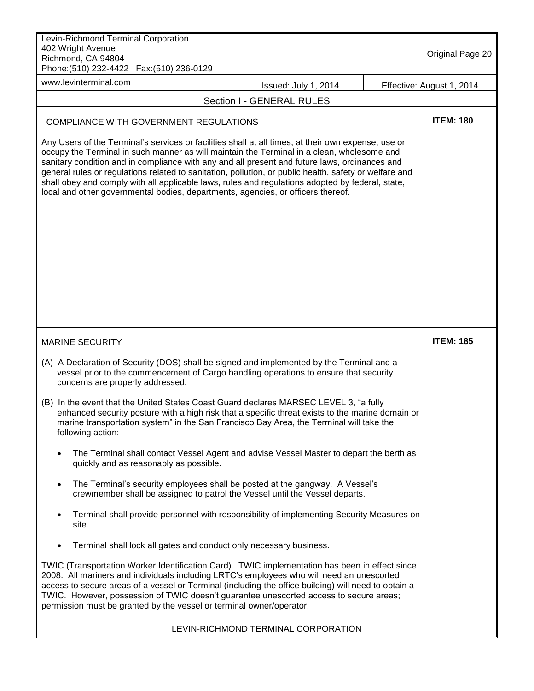| Levin-Richmond Terminal Corporation<br>402 Wright Avenue<br>Richmond, CA 94804<br>Phone: (510) 232-4422    Fax: (510) 236-0129                                                                                                                                                                                                                                                                                                                                                                                                                                                                       |                                     |                           | Original Page 20 |
|------------------------------------------------------------------------------------------------------------------------------------------------------------------------------------------------------------------------------------------------------------------------------------------------------------------------------------------------------------------------------------------------------------------------------------------------------------------------------------------------------------------------------------------------------------------------------------------------------|-------------------------------------|---------------------------|------------------|
| www.levinterminal.com                                                                                                                                                                                                                                                                                                                                                                                                                                                                                                                                                                                | Issued: July 1, 2014                | Effective: August 1, 2014 |                  |
|                                                                                                                                                                                                                                                                                                                                                                                                                                                                                                                                                                                                      | Section I - GENERAL RULES           |                           |                  |
| <b>COMPLIANCE WITH GOVERNMENT REGULATIONS</b>                                                                                                                                                                                                                                                                                                                                                                                                                                                                                                                                                        |                                     |                           | <b>ITEM: 180</b> |
| Any Users of the Terminal's services or facilities shall at all times, at their own expense, use or<br>occupy the Terminal in such manner as will maintain the Terminal in a clean, wholesome and<br>sanitary condition and in compliance with any and all present and future laws, ordinances and<br>general rules or regulations related to sanitation, pollution, or public health, safety or welfare and<br>shall obey and comply with all applicable laws, rules and regulations adopted by federal, state,<br>local and other governmental bodies, departments, agencies, or officers thereof. |                                     |                           |                  |
| <b>MARINE SECURITY</b>                                                                                                                                                                                                                                                                                                                                                                                                                                                                                                                                                                               |                                     |                           | <b>ITEM: 185</b> |
| (A) A Declaration of Security (DOS) shall be signed and implemented by the Terminal and a<br>vessel prior to the commencement of Cargo handling operations to ensure that security<br>concerns are properly addressed.                                                                                                                                                                                                                                                                                                                                                                               |                                     |                           |                  |
| (B) In the event that the United States Coast Guard declares MARSEC LEVEL 3, "a fully<br>enhanced security posture with a high risk that a specific threat exists to the marine domain or<br>marine transportation system" in the San Francisco Bay Area, the Terminal will take the<br>following action:                                                                                                                                                                                                                                                                                            |                                     |                           |                  |
| The Terminal shall contact Vessel Agent and advise Vessel Master to depart the berth as<br>$\bullet$<br>quickly and as reasonably as possible.                                                                                                                                                                                                                                                                                                                                                                                                                                                       |                                     |                           |                  |
| The Terminal's security employees shall be posted at the gangway. A Vessel's<br>$\bullet$<br>crewmember shall be assigned to patrol the Vessel until the Vessel departs.                                                                                                                                                                                                                                                                                                                                                                                                                             |                                     |                           |                  |
| Terminal shall provide personnel with responsibility of implementing Security Measures on<br>$\bullet$<br>site.                                                                                                                                                                                                                                                                                                                                                                                                                                                                                      |                                     |                           |                  |
| Terminal shall lock all gates and conduct only necessary business.                                                                                                                                                                                                                                                                                                                                                                                                                                                                                                                                   |                                     |                           |                  |
| TWIC (Transportation Worker Identification Card). TWIC implementation has been in effect since<br>2008. All mariners and individuals including LRTC's employees who will need an unescorted<br>access to secure areas of a vessel or Terminal (including the office building) will need to obtain a<br>TWIC. However, possession of TWIC doesn't guarantee unescorted access to secure areas;<br>permission must be granted by the vessel or terminal owner/operator.                                                                                                                                |                                     |                           |                  |
|                                                                                                                                                                                                                                                                                                                                                                                                                                                                                                                                                                                                      | LEVIN-RICHMOND TERMINAL CORPORATION |                           |                  |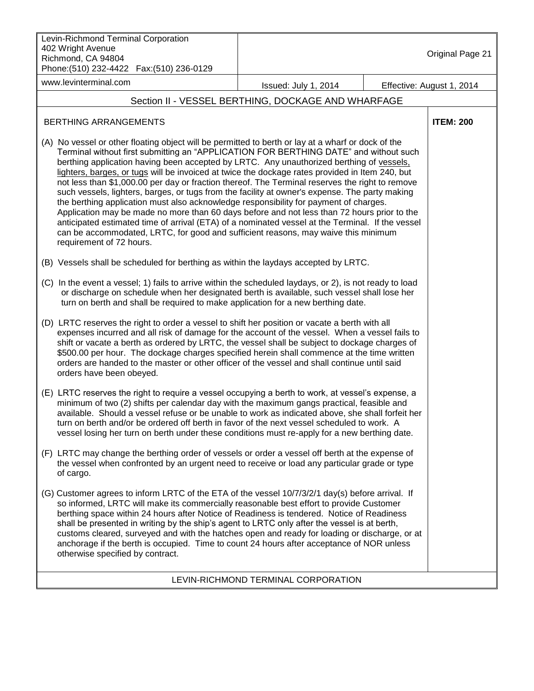| Levin-Richmond Terminal Corporation<br>402 Wright Avenue<br>Richmond, CA 94804<br>Phone: (510) 232-4422  Fax: (510) 236-0129                                                                                                                                                                                                                                                                                                                                                                                                                                                                                                                                                                                                                                                                                                                                                                                                                                                                                  |                                                    | Original Page 21          |
|---------------------------------------------------------------------------------------------------------------------------------------------------------------------------------------------------------------------------------------------------------------------------------------------------------------------------------------------------------------------------------------------------------------------------------------------------------------------------------------------------------------------------------------------------------------------------------------------------------------------------------------------------------------------------------------------------------------------------------------------------------------------------------------------------------------------------------------------------------------------------------------------------------------------------------------------------------------------------------------------------------------|----------------------------------------------------|---------------------------|
| www.levinterminal.com                                                                                                                                                                                                                                                                                                                                                                                                                                                                                                                                                                                                                                                                                                                                                                                                                                                                                                                                                                                         | Issued: July 1, 2014                               | Effective: August 1, 2014 |
|                                                                                                                                                                                                                                                                                                                                                                                                                                                                                                                                                                                                                                                                                                                                                                                                                                                                                                                                                                                                               | Section II - VESSEL BERTHING, DOCKAGE AND WHARFAGE |                           |
| <b>BERTHING ARRANGEMENTS</b>                                                                                                                                                                                                                                                                                                                                                                                                                                                                                                                                                                                                                                                                                                                                                                                                                                                                                                                                                                                  |                                                    | <b>ITEM: 200</b>          |
| (A) No vessel or other floating object will be permitted to berth or lay at a wharf or dock of the<br>Terminal without first submitting an "APPLICATION FOR BERTHING DATE" and without such<br>berthing application having been accepted by LRTC. Any unauthorized berthing of vessels,<br>lighters, barges, or tugs will be invoiced at twice the dockage rates provided in Item 240, but<br>not less than \$1,000.00 per day or fraction thereof. The Terminal reserves the right to remove<br>such vessels, lighters, barges, or tugs from the facility at owner's expense. The party making<br>the berthing application must also acknowledge responsibility for payment of charges.<br>Application may be made no more than 60 days before and not less than 72 hours prior to the<br>anticipated estimated time of arrival (ETA) of a nominated vessel at the Terminal. If the vessel<br>can be accommodated, LRTC, for good and sufficient reasons, may waive this minimum<br>requirement of 72 hours. |                                                    |                           |
| (B) Vessels shall be scheduled for berthing as within the laydays accepted by LRTC.                                                                                                                                                                                                                                                                                                                                                                                                                                                                                                                                                                                                                                                                                                                                                                                                                                                                                                                           |                                                    |                           |
| (C) In the event a vessel; 1) fails to arrive within the scheduled laydays, or 2), is not ready to load<br>or discharge on schedule when her designated berth is available, such vessel shall lose her<br>turn on berth and shall be required to make application for a new berthing date.                                                                                                                                                                                                                                                                                                                                                                                                                                                                                                                                                                                                                                                                                                                    |                                                    |                           |
| (D) LRTC reserves the right to order a vessel to shift her position or vacate a berth with all<br>expenses incurred and all risk of damage for the account of the vessel. When a vessel fails to<br>shift or vacate a berth as ordered by LRTC, the vessel shall be subject to dockage charges of<br>\$500.00 per hour. The dockage charges specified herein shall commence at the time written<br>orders are handed to the master or other officer of the vessel and shall continue until said<br>orders have been obeyed.                                                                                                                                                                                                                                                                                                                                                                                                                                                                                   |                                                    |                           |
| (E) LRTC reserves the right to require a vessel occupying a berth to work, at vessel's expense, a<br>minimum of two (2) shifts per calendar day with the maximum gangs practical, feasible and<br>available. Should a vessel refuse or be unable to work as indicated above, she shall forfeit her<br>turn on berth and/or be ordered off berth in favor of the next vessel scheduled to work. A<br>vessel losing her turn on berth under these conditions must re-apply for a new berthing date.                                                                                                                                                                                                                                                                                                                                                                                                                                                                                                             |                                                    |                           |
| (F) LRTC may change the berthing order of vessels or order a vessel off berth at the expense of<br>the vessel when confronted by an urgent need to receive or load any particular grade or type<br>of cargo.                                                                                                                                                                                                                                                                                                                                                                                                                                                                                                                                                                                                                                                                                                                                                                                                  |                                                    |                           |
| (G) Customer agrees to inform LRTC of the ETA of the vessel 10/7/3/2/1 day(s) before arrival. If<br>so informed, LRTC will make its commercially reasonable best effort to provide Customer<br>berthing space within 24 hours after Notice of Readiness is tendered. Notice of Readiness<br>shall be presented in writing by the ship's agent to LRTC only after the vessel is at berth,<br>customs cleared, surveyed and with the hatches open and ready for loading or discharge, or at<br>anchorage if the berth is occupied. Time to count 24 hours after acceptance of NOR unless<br>otherwise specified by contract.                                                                                                                                                                                                                                                                                                                                                                                    |                                                    |                           |
|                                                                                                                                                                                                                                                                                                                                                                                                                                                                                                                                                                                                                                                                                                                                                                                                                                                                                                                                                                                                               | LEVIN-RICHMOND TERMINAL CORPORATION                |                           |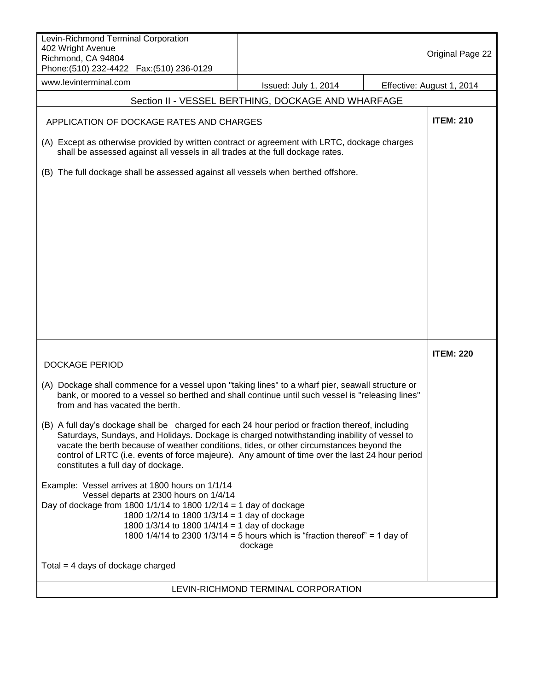| Levin-Richmond Terminal Corporation<br>402 Wright Avenue<br>Richmond, CA 94804                                                                                                                                                                                                                                                                                                                                                       |                                                                                        | Original Page 22          |
|--------------------------------------------------------------------------------------------------------------------------------------------------------------------------------------------------------------------------------------------------------------------------------------------------------------------------------------------------------------------------------------------------------------------------------------|----------------------------------------------------------------------------------------|---------------------------|
| www.levinterminal.com                                                                                                                                                                                                                                                                                                                                                                                                                | Issued: July 1, 2014                                                                   | Effective: August 1, 2014 |
|                                                                                                                                                                                                                                                                                                                                                                                                                                      | Section II - VESSEL BERTHING, DOCKAGE AND WHARFAGE                                     |                           |
| APPLICATION OF DOCKAGE RATES AND CHARGES                                                                                                                                                                                                                                                                                                                                                                                             |                                                                                        | <b>ITEM: 210</b>          |
| (A) Except as otherwise provided by written contract or agreement with LRTC, dockage charges<br>shall be assessed against all vessels in all trades at the full dockage rates.                                                                                                                                                                                                                                                       |                                                                                        |                           |
| (B) The full dockage shall be assessed against all vessels when berthed offshore.                                                                                                                                                                                                                                                                                                                                                    |                                                                                        |                           |
| <b>DOCKAGE PERIOD</b>                                                                                                                                                                                                                                                                                                                                                                                                                |                                                                                        | <b>ITEM: 220</b>          |
| (A) Dockage shall commence for a vessel upon "taking lines" to a wharf pier, seawall structure or<br>bank, or moored to a vessel so berthed and shall continue until such vessel is "releasing lines"<br>from and has vacated the berth.                                                                                                                                                                                             |                                                                                        |                           |
| (B) A full day's dockage shall be charged for each 24 hour period or fraction thereof, including<br>Saturdays, Sundays, and Holidays. Dockage is charged notwithstanding inability of vessel to<br>vacate the berth because of weather conditions, tides, or other circumstances beyond the<br>control of LRTC (i.e. events of force majeure). Any amount of time over the last 24 hour period<br>constitutes a full day of dockage. |                                                                                        |                           |
| Example: Vessel arrives at 1800 hours on 1/1/14<br>Vessel departs at 2300 hours on 1/4/14<br>Day of dockage from 1800 1/1/14 to 1800 1/2/14 = 1 day of dockage<br>1800 1/2/14 to 1800 1/3/14 = 1 day of dockage<br>1800 1/3/14 to 1800 1/4/14 = 1 day of dockage                                                                                                                                                                     | 1800 1/4/14 to 2300 1/3/14 = 5 hours which is "fraction thereof" = 1 day of<br>dockage |                           |
| Total $=$ 4 days of dockage charged                                                                                                                                                                                                                                                                                                                                                                                                  |                                                                                        |                           |
|                                                                                                                                                                                                                                                                                                                                                                                                                                      | LEVIN-RICHMOND TERMINAL CORPORATION                                                    |                           |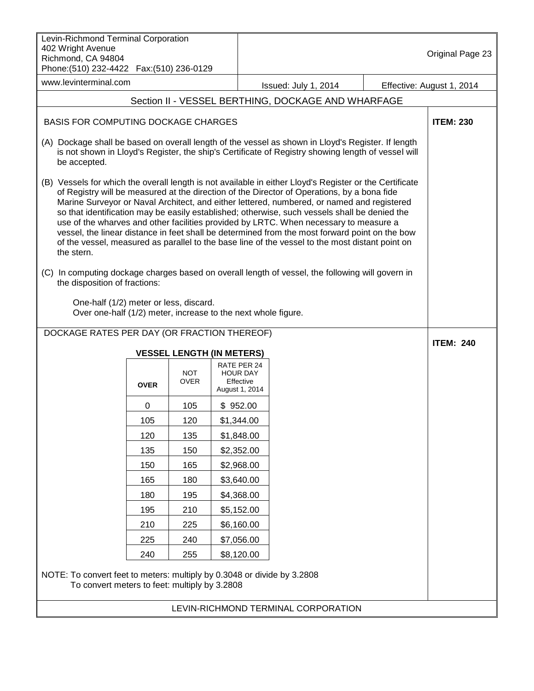| Levin-Richmond Terminal Corporation<br>402 Wright Avenue<br>Richmond, CA 94804<br>Phone: (510) 232-4422    Fax: (510) 236-0129                                                                                                                                                                                                                                                                                                                                                                                                                                                                                                                                                                                    |                           |                                                 |                      |  | Original Page 23          |
|-------------------------------------------------------------------------------------------------------------------------------------------------------------------------------------------------------------------------------------------------------------------------------------------------------------------------------------------------------------------------------------------------------------------------------------------------------------------------------------------------------------------------------------------------------------------------------------------------------------------------------------------------------------------------------------------------------------------|---------------------------|-------------------------------------------------|----------------------|--|---------------------------|
| www.levinterminal.com                                                                                                                                                                                                                                                                                                                                                                                                                                                                                                                                                                                                                                                                                             |                           |                                                 | Issued: July 1, 2014 |  | Effective: August 1, 2014 |
| Section II - VESSEL BERTHING, DOCKAGE AND WHARFAGE                                                                                                                                                                                                                                                                                                                                                                                                                                                                                                                                                                                                                                                                |                           |                                                 |                      |  |                           |
| <b>BASIS FOR COMPUTING DOCKAGE CHARGES</b>                                                                                                                                                                                                                                                                                                                                                                                                                                                                                                                                                                                                                                                                        |                           |                                                 |                      |  | <b>ITEM: 230</b>          |
| (A) Dockage shall be based on overall length of the vessel as shown in Lloyd's Register. If length<br>is not shown in Lloyd's Register, the ship's Certificate of Registry showing length of vessel will<br>be accepted.                                                                                                                                                                                                                                                                                                                                                                                                                                                                                          |                           |                                                 |                      |  |                           |
| (B) Vessels for which the overall length is not available in either Lloyd's Register or the Certificate<br>of Registry will be measured at the direction of the Director of Operations, by a bona fide<br>Marine Surveyor or Naval Architect, and either lettered, numbered, or named and registered<br>so that identification may be easily established; otherwise, such vessels shall be denied the<br>use of the wharves and other facilities provided by LRTC. When necessary to measure a<br>vessel, the linear distance in feet shall be determined from the most forward point on the bow<br>of the vessel, measured as parallel to the base line of the vessel to the most distant point on<br>the stern. |                           |                                                 |                      |  |                           |
| (C) In computing dockage charges based on overall length of vessel, the following will govern in<br>the disposition of fractions:                                                                                                                                                                                                                                                                                                                                                                                                                                                                                                                                                                                 |                           |                                                 |                      |  |                           |
| One-half (1/2) meter or less, discard.<br>Over one-half (1/2) meter, increase to the next whole figure.                                                                                                                                                                                                                                                                                                                                                                                                                                                                                                                                                                                                           |                           |                                                 |                      |  |                           |
| DOCKAGE RATES PER DAY (OR FRACTION THEREOF)                                                                                                                                                                                                                                                                                                                                                                                                                                                                                                                                                                                                                                                                       |                           |                                                 |                      |  | <b>ITEM: 240</b>          |
|                                                                                                                                                                                                                                                                                                                                                                                                                                                                                                                                                                                                                                                                                                                   |                           | <b>VESSEL LENGTH (IN METERS)</b><br>RATE PER 24 |                      |  |                           |
| <b>OVER</b>                                                                                                                                                                                                                                                                                                                                                                                                                                                                                                                                                                                                                                                                                                       | <b>NOT</b><br><b>OVER</b> | <b>HOUR DAY</b><br>Effective<br>August 1, 2014  |                      |  |                           |
| 0                                                                                                                                                                                                                                                                                                                                                                                                                                                                                                                                                                                                                                                                                                                 | 105                       | \$952.00                                        |                      |  |                           |
| 105                                                                                                                                                                                                                                                                                                                                                                                                                                                                                                                                                                                                                                                                                                               | 120                       | \$1,344.00                                      |                      |  |                           |
| 120                                                                                                                                                                                                                                                                                                                                                                                                                                                                                                                                                                                                                                                                                                               | 135                       | \$1,848.00                                      |                      |  |                           |
| 135                                                                                                                                                                                                                                                                                                                                                                                                                                                                                                                                                                                                                                                                                                               | 150                       | \$2,352.00                                      |                      |  |                           |
| 150                                                                                                                                                                                                                                                                                                                                                                                                                                                                                                                                                                                                                                                                                                               | 165                       | \$2,968.00                                      |                      |  |                           |
| 165                                                                                                                                                                                                                                                                                                                                                                                                                                                                                                                                                                                                                                                                                                               | 180                       | \$3,640.00                                      |                      |  |                           |
| 180                                                                                                                                                                                                                                                                                                                                                                                                                                                                                                                                                                                                                                                                                                               | 195                       | \$4,368.00                                      |                      |  |                           |
| 195                                                                                                                                                                                                                                                                                                                                                                                                                                                                                                                                                                                                                                                                                                               | 210                       | \$5,152.00                                      |                      |  |                           |
| 210                                                                                                                                                                                                                                                                                                                                                                                                                                                                                                                                                                                                                                                                                                               | 225                       | \$6,160.00                                      |                      |  |                           |
| 225                                                                                                                                                                                                                                                                                                                                                                                                                                                                                                                                                                                                                                                                                                               | 240                       | \$7,056.00                                      |                      |  |                           |
| 240                                                                                                                                                                                                                                                                                                                                                                                                                                                                                                                                                                                                                                                                                                               | 255                       | \$8,120.00                                      |                      |  |                           |
| NOTE: To convert feet to meters: multiply by 0.3048 or divide by 3.2808<br>To convert meters to feet: multiply by 3.2808                                                                                                                                                                                                                                                                                                                                                                                                                                                                                                                                                                                          |                           |                                                 |                      |  |                           |
| LEVIN-RICHMOND TERMINAL CORPORATION                                                                                                                                                                                                                                                                                                                                                                                                                                                                                                                                                                                                                                                                               |                           |                                                 |                      |  |                           |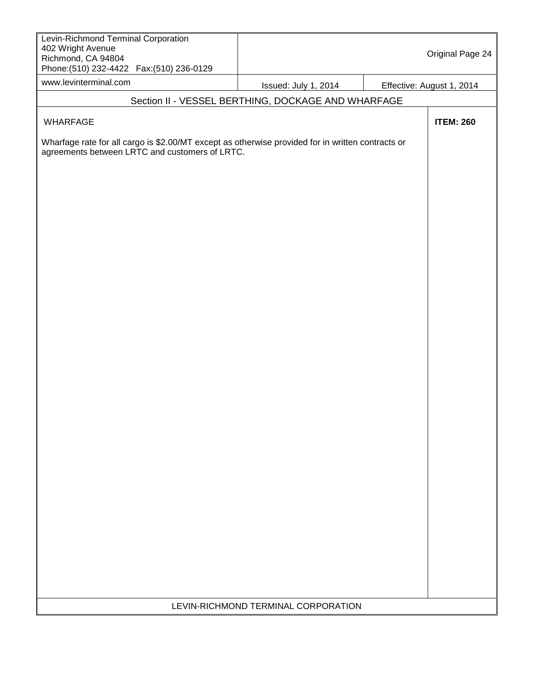| Levin-Richmond Terminal Corporation<br>402 Wright Avenue<br>Richmond, CA 94804<br>Phone: (510) 232-4422    Fax: (510) 236-0129                      |                                                    | Original Page 24          |
|-----------------------------------------------------------------------------------------------------------------------------------------------------|----------------------------------------------------|---------------------------|
| www.levinterminal.com                                                                                                                               | Issued: July 1, 2014                               | Effective: August 1, 2014 |
|                                                                                                                                                     | Section II - VESSEL BERTHING, DOCKAGE AND WHARFAGE |                           |
| WHARFAGE                                                                                                                                            |                                                    | <b>ITEM: 260</b>          |
| Wharfage rate for all cargo is \$2.00/MT except as otherwise provided for in written contracts or<br>agreements between LRTC and customers of LRTC. |                                                    |                           |
|                                                                                                                                                     |                                                    |                           |
|                                                                                                                                                     |                                                    |                           |
|                                                                                                                                                     | LEVIN-RICHMOND TERMINAL CORPORATION                |                           |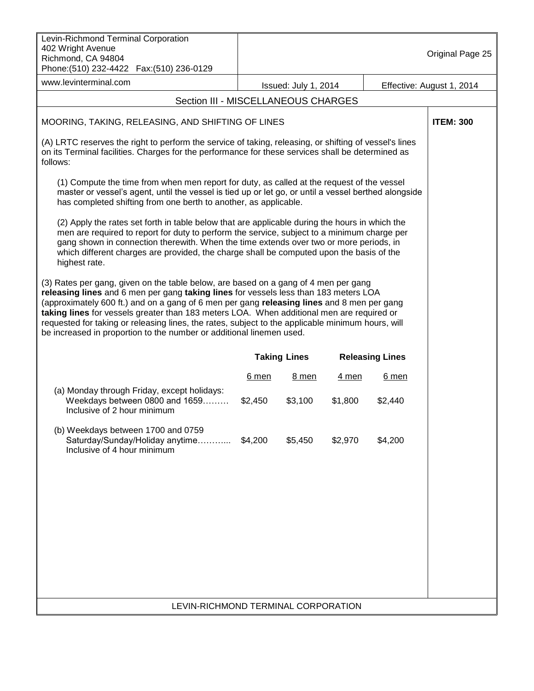| Levin-Richmond Terminal Corporation<br>402 Wright Avenue<br>Richmond, CA 94804<br>Phone: (510) 232-4422  Fax: (510) 236-0129                                                                                                                                                                                                                                                                                                                                                                                                                        |                                     |                      |         |                        | Original Page 25          |
|-----------------------------------------------------------------------------------------------------------------------------------------------------------------------------------------------------------------------------------------------------------------------------------------------------------------------------------------------------------------------------------------------------------------------------------------------------------------------------------------------------------------------------------------------------|-------------------------------------|----------------------|---------|------------------------|---------------------------|
| www.levinterminal.com                                                                                                                                                                                                                                                                                                                                                                                                                                                                                                                               |                                     | Issued: July 1, 2014 |         |                        | Effective: August 1, 2014 |
|                                                                                                                                                                                                                                                                                                                                                                                                                                                                                                                                                     | Section III - MISCELLANEOUS CHARGES |                      |         |                        |                           |
| MOORING, TAKING, RELEASING, AND SHIFTING OF LINES                                                                                                                                                                                                                                                                                                                                                                                                                                                                                                   |                                     |                      |         |                        | <b>ITEM: 300</b>          |
| (A) LRTC reserves the right to perform the service of taking, releasing, or shifting of vessel's lines<br>on its Terminal facilities. Charges for the performance for these services shall be determined as<br>follows:                                                                                                                                                                                                                                                                                                                             |                                     |                      |         |                        |                           |
| (1) Compute the time from when men report for duty, as called at the request of the vessel<br>master or vessel's agent, until the vessel is tied up or let go, or until a vessel berthed alongside<br>has completed shifting from one berth to another, as applicable.                                                                                                                                                                                                                                                                              |                                     |                      |         |                        |                           |
| (2) Apply the rates set forth in table below that are applicable during the hours in which the<br>men are required to report for duty to perform the service, subject to a minimum charge per<br>gang shown in connection therewith. When the time extends over two or more periods, in<br>which different charges are provided, the charge shall be computed upon the basis of the<br>highest rate.                                                                                                                                                |                                     |                      |         |                        |                           |
| (3) Rates per gang, given on the table below, are based on a gang of 4 men per gang<br>releasing lines and 6 men per gang taking lines for vessels less than 183 meters LOA<br>(approximately 600 ft.) and on a gang of 6 men per gang releasing lines and 8 men per gang<br>taking lines for vessels greater than 183 meters LOA. When additional men are required or<br>requested for taking or releasing lines, the rates, subject to the applicable minimum hours, will<br>be increased in proportion to the number or additional linemen used. |                                     |                      |         |                        |                           |
|                                                                                                                                                                                                                                                                                                                                                                                                                                                                                                                                                     |                                     | <b>Taking Lines</b>  |         | <b>Releasing Lines</b> |                           |
|                                                                                                                                                                                                                                                                                                                                                                                                                                                                                                                                                     | 6 men                               | 8 men                | 4 men   | $6$ men                |                           |
| (a) Monday through Friday, except holidays:<br>Weekdays between 0800 and 1659<br>Inclusive of 2 hour minimum                                                                                                                                                                                                                                                                                                                                                                                                                                        | \$2,450                             | \$3,100              | \$1,800 | \$2,440                |                           |
| (b) Weekdays between 1700 and 0759<br>Saturday/Sunday/Holiday anytime<br>Inclusive of 4 hour minimum                                                                                                                                                                                                                                                                                                                                                                                                                                                | \$4,200                             | \$5,450              | \$2,970 | \$4,200                |                           |
|                                                                                                                                                                                                                                                                                                                                                                                                                                                                                                                                                     |                                     |                      |         |                        |                           |
|                                                                                                                                                                                                                                                                                                                                                                                                                                                                                                                                                     |                                     |                      |         |                        |                           |
|                                                                                                                                                                                                                                                                                                                                                                                                                                                                                                                                                     |                                     |                      |         |                        |                           |
|                                                                                                                                                                                                                                                                                                                                                                                                                                                                                                                                                     |                                     |                      |         |                        |                           |
| LEVIN-RICHMOND TERMINAL CORPORATION                                                                                                                                                                                                                                                                                                                                                                                                                                                                                                                 |                                     |                      |         |                        |                           |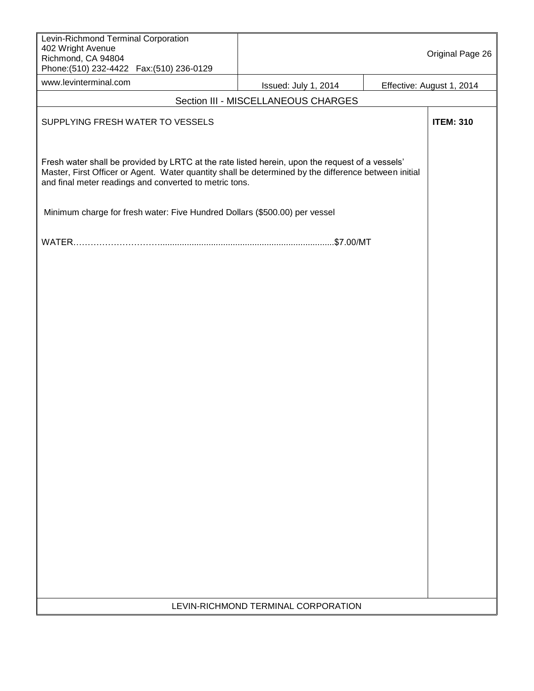| Levin-Richmond Terminal Corporation<br>402 Wright Avenue<br>Richmond, CA 94804<br>Phone: (510) 232-4422    Fax: (510) 236-0129                                                                                                                                    |                      |  | Original Page 26          |  |  |
|-------------------------------------------------------------------------------------------------------------------------------------------------------------------------------------------------------------------------------------------------------------------|----------------------|--|---------------------------|--|--|
| www.levinterminal.com                                                                                                                                                                                                                                             | Issued: July 1, 2014 |  | Effective: August 1, 2014 |  |  |
| Section III - MISCELLANEOUS CHARGES                                                                                                                                                                                                                               |                      |  |                           |  |  |
| SUPPLYING FRESH WATER TO VESSELS                                                                                                                                                                                                                                  |                      |  | <b>ITEM: 310</b>          |  |  |
| Fresh water shall be provided by LRTC at the rate listed herein, upon the request of a vessels'<br>Master, First Officer or Agent. Water quantity shall be determined by the difference between initial<br>and final meter readings and converted to metric tons. |                      |  |                           |  |  |
| Minimum charge for fresh water: Five Hundred Dollars (\$500.00) per vessel                                                                                                                                                                                        |                      |  |                           |  |  |
|                                                                                                                                                                                                                                                                   |                      |  |                           |  |  |
|                                                                                                                                                                                                                                                                   |                      |  |                           |  |  |
|                                                                                                                                                                                                                                                                   |                      |  |                           |  |  |
|                                                                                                                                                                                                                                                                   |                      |  |                           |  |  |
|                                                                                                                                                                                                                                                                   |                      |  |                           |  |  |
|                                                                                                                                                                                                                                                                   |                      |  |                           |  |  |
|                                                                                                                                                                                                                                                                   |                      |  |                           |  |  |
|                                                                                                                                                                                                                                                                   |                      |  |                           |  |  |
|                                                                                                                                                                                                                                                                   |                      |  |                           |  |  |
|                                                                                                                                                                                                                                                                   |                      |  |                           |  |  |
|                                                                                                                                                                                                                                                                   |                      |  |                           |  |  |
|                                                                                                                                                                                                                                                                   |                      |  |                           |  |  |
|                                                                                                                                                                                                                                                                   |                      |  |                           |  |  |
|                                                                                                                                                                                                                                                                   |                      |  |                           |  |  |
|                                                                                                                                                                                                                                                                   |                      |  |                           |  |  |
|                                                                                                                                                                                                                                                                   |                      |  |                           |  |  |
|                                                                                                                                                                                                                                                                   |                      |  |                           |  |  |
|                                                                                                                                                                                                                                                                   |                      |  |                           |  |  |
|                                                                                                                                                                                                                                                                   |                      |  |                           |  |  |
|                                                                                                                                                                                                                                                                   |                      |  |                           |  |  |
|                                                                                                                                                                                                                                                                   |                      |  |                           |  |  |
| LEVIN-RICHMOND TERMINAL CORPORATION                                                                                                                                                                                                                               |                      |  |                           |  |  |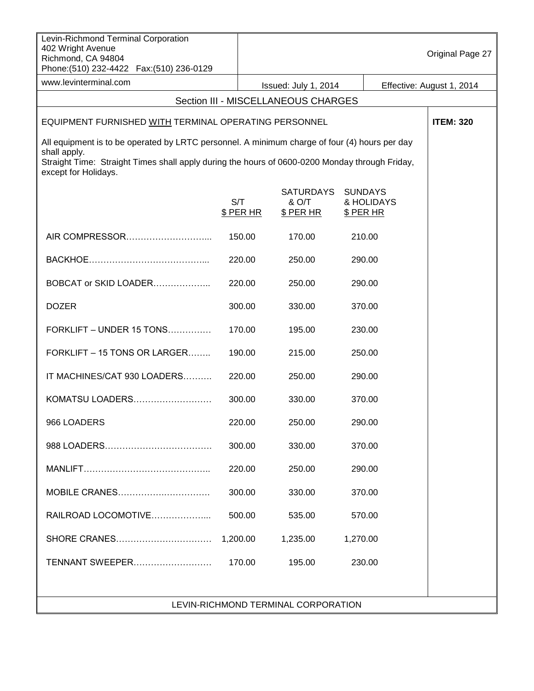| Levin-Richmond Terminal Corporation<br>402 Wright Avenue<br>Richmond, CA 94804<br>Phone: (510) 232-4422  Fax: (510) 236-0129                                                                                                            |                  |                                        |                                           | Original Page 27          |
|-----------------------------------------------------------------------------------------------------------------------------------------------------------------------------------------------------------------------------------------|------------------|----------------------------------------|-------------------------------------------|---------------------------|
| www.levinterminal.com                                                                                                                                                                                                                   |                  | Issued: July 1, 2014                   |                                           | Effective: August 1, 2014 |
|                                                                                                                                                                                                                                         |                  | Section III - MISCELLANEOUS CHARGES    |                                           |                           |
| EQUIPMENT FURNISHED WITH TERMINAL OPERATING PERSONNEL                                                                                                                                                                                   | <b>ITEM: 320</b> |                                        |                                           |                           |
| All equipment is to be operated by LRTC personnel. A minimum charge of four (4) hours per day<br>shall apply.<br>Straight Time: Straight Times shall apply during the hours of 0600-0200 Monday through Friday,<br>except for Holidays. |                  |                                        |                                           |                           |
|                                                                                                                                                                                                                                         | S/T<br>\$ PER HR | <b>SATURDAYS</b><br>& O/T<br>\$ PER HR | <b>SUNDAYS</b><br>& HOLIDAYS<br>\$ PER HR |                           |
|                                                                                                                                                                                                                                         | 150.00           | 170.00                                 | 210.00                                    |                           |
|                                                                                                                                                                                                                                         | 220.00           | 250.00                                 | 290.00                                    |                           |
| BOBCAT or SKID LOADER                                                                                                                                                                                                                   | 220.00           | 250.00                                 | 290.00                                    |                           |
| <b>DOZER</b>                                                                                                                                                                                                                            | 300.00           | 330.00                                 | 370.00                                    |                           |
| <b>FORKLIFT - UNDER 15 TONS</b>                                                                                                                                                                                                         | 170.00           | 195.00                                 | 230.00                                    |                           |
| FORKLIFT - 15 TONS OR LARGER                                                                                                                                                                                                            | 190.00           | 215.00                                 | 250.00                                    |                           |
| IT MACHINES/CAT 930 LOADERS                                                                                                                                                                                                             | 220.00           | 250.00                                 | 290.00                                    |                           |
| KOMATSU LOADERS                                                                                                                                                                                                                         | 300.00           | 330.00                                 | 370.00                                    |                           |
| 966 LOADERS                                                                                                                                                                                                                             | 220.00           | 250.00                                 | 290.00                                    |                           |
|                                                                                                                                                                                                                                         | 300.00           | 330.00                                 | 370.00                                    |                           |
|                                                                                                                                                                                                                                         | 220.00           | 250.00                                 | 290.00                                    |                           |
| MOBILE CRANES                                                                                                                                                                                                                           | 300.00           | 330.00                                 | 370.00                                    |                           |
| RAILROAD LOCOMOTIVE                                                                                                                                                                                                                     | 500.00           | 535.00                                 | 570.00                                    |                           |
|                                                                                                                                                                                                                                         | 1,200.00         | 1,235.00                               | 1,270.00                                  |                           |
| TENNANT SWEEPER                                                                                                                                                                                                                         | 170.00           | 195.00                                 | 230.00                                    |                           |
|                                                                                                                                                                                                                                         |                  |                                        |                                           |                           |
| LEVIN-RICHMOND TERMINAL CORPORATION                                                                                                                                                                                                     |                  |                                        |                                           |                           |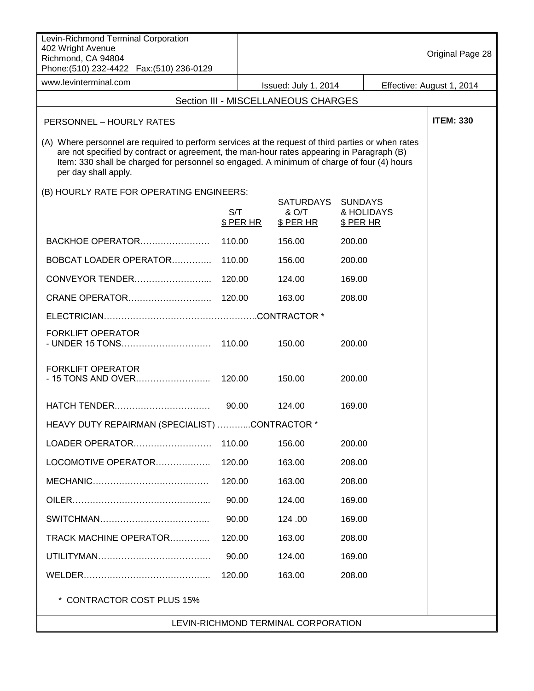| Levin-Richmond Terminal Corporation<br>402 Wright Avenue<br>Richmond, CA 94804<br>Phone: (510) 232-4422    Fax: (510) 236-0129                                                                                                                                                                                        |                  |                                               |                                           | Original Page 28          |
|-----------------------------------------------------------------------------------------------------------------------------------------------------------------------------------------------------------------------------------------------------------------------------------------------------------------------|------------------|-----------------------------------------------|-------------------------------------------|---------------------------|
| www.levinterminal.com                                                                                                                                                                                                                                                                                                 |                  | Issued: July 1, 2014                          |                                           | Effective: August 1, 2014 |
| Section III - MISCELLANEOUS CHARGES                                                                                                                                                                                                                                                                                   |                  |                                               |                                           |                           |
| PERSONNEL - HOURLY RATES                                                                                                                                                                                                                                                                                              |                  |                                               |                                           |                           |
| (A) Where personnel are required to perform services at the request of third parties or when rates<br>are not specified by contract or agreement, the man-hour rates appearing in Paragraph (B)<br>Item: 330 shall be charged for personnel so engaged. A minimum of charge of four (4) hours<br>per day shall apply. |                  |                                               |                                           |                           |
| (B) HOURLY RATE FOR OPERATING ENGINEERS:                                                                                                                                                                                                                                                                              |                  |                                               |                                           |                           |
|                                                                                                                                                                                                                                                                                                                       | S/T<br>\$ PER HR | <b>SATURDAYS</b><br>& O/T<br><u>\$ PER HR</u> | <b>SUNDAYS</b><br>& HOLIDAYS<br>\$ PER HR |                           |
| BACKHOE OPERATOR                                                                                                                                                                                                                                                                                                      | 110.00           | 156.00                                        | 200.00                                    |                           |
| BOBCAT LOADER OPERATOR                                                                                                                                                                                                                                                                                                | 110.00           | 156.00                                        | 200.00                                    |                           |
| CONVEYOR TENDER                                                                                                                                                                                                                                                                                                       | 120.00           | 124.00                                        | 169.00                                    |                           |
| CRANE OPERATOR                                                                                                                                                                                                                                                                                                        | 120.00           | 163.00                                        | 208.00                                    |                           |
|                                                                                                                                                                                                                                                                                                                       |                  |                                               |                                           |                           |
| <b>FORKLIFT OPERATOR</b>                                                                                                                                                                                                                                                                                              |                  | 150.00                                        | 200.00                                    |                           |
| <b>FORKLIFT OPERATOR</b><br>- 15 TONS AND OVER                                                                                                                                                                                                                                                                        | 120.00           | 150.00                                        | 200.00                                    |                           |
| HATCH TENDER                                                                                                                                                                                                                                                                                                          | 90.00            | 124.00                                        | 169.00                                    |                           |
| HEAVY DUTY REPAIRMAN (SPECIALIST) CONTRACTOR *                                                                                                                                                                                                                                                                        |                  |                                               |                                           |                           |
| LOADER OPERATOR                                                                                                                                                                                                                                                                                                       | 110.00           | 156.00                                        | 200.00                                    |                           |
| LOCOMOTIVE OPERATOR                                                                                                                                                                                                                                                                                                   | 120.00           | 163.00                                        | 208.00                                    |                           |
|                                                                                                                                                                                                                                                                                                                       | 120.00           | 163.00                                        | 208.00                                    |                           |
|                                                                                                                                                                                                                                                                                                                       | 90.00            | 124.00                                        | 169.00                                    |                           |
|                                                                                                                                                                                                                                                                                                                       | 90.00            | 124.00                                        | 169.00                                    |                           |
| TRACK MACHINE OPERATOR                                                                                                                                                                                                                                                                                                | 120.00           | 163.00                                        | 208.00                                    |                           |
|                                                                                                                                                                                                                                                                                                                       | 90.00            | 124.00                                        | 169.00                                    |                           |
|                                                                                                                                                                                                                                                                                                                       | 120.00           | 163.00                                        | 208.00                                    |                           |
| <b>CONTRACTOR COST PLUS 15%</b>                                                                                                                                                                                                                                                                                       |                  |                                               |                                           |                           |
|                                                                                                                                                                                                                                                                                                                       |                  | LEVIN-RICHMOND TERMINAL CORPORATION           |                                           |                           |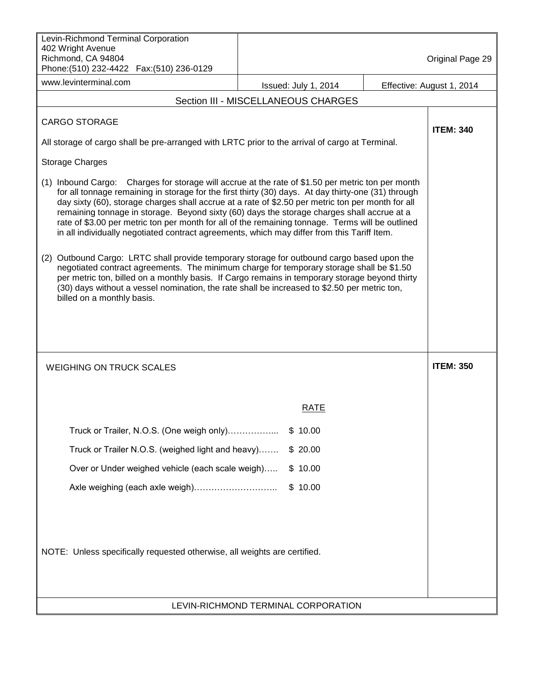| Levin-Richmond Terminal Corporation<br>402 Wright Avenue<br>Richmond, CA 94804<br>Phone: (510) 232-4422  Fax: (510) 236-0129                                                                                                                                                                                                                                                                                                                                                                                                                                                                                   |  |                                     |  | Original Page 29          |
|----------------------------------------------------------------------------------------------------------------------------------------------------------------------------------------------------------------------------------------------------------------------------------------------------------------------------------------------------------------------------------------------------------------------------------------------------------------------------------------------------------------------------------------------------------------------------------------------------------------|--|-------------------------------------|--|---------------------------|
| www.levinterminal.com                                                                                                                                                                                                                                                                                                                                                                                                                                                                                                                                                                                          |  | Issued: July 1, 2014                |  | Effective: August 1, 2014 |
|                                                                                                                                                                                                                                                                                                                                                                                                                                                                                                                                                                                                                |  | Section III - MISCELLANEOUS CHARGES |  |                           |
| <b>CARGO STORAGE</b>                                                                                                                                                                                                                                                                                                                                                                                                                                                                                                                                                                                           |  |                                     |  | <b>ITEM: 340</b>          |
| All storage of cargo shall be pre-arranged with LRTC prior to the arrival of cargo at Terminal.                                                                                                                                                                                                                                                                                                                                                                                                                                                                                                                |  |                                     |  |                           |
| Storage Charges                                                                                                                                                                                                                                                                                                                                                                                                                                                                                                                                                                                                |  |                                     |  |                           |
| (1) Inbound Cargo: Charges for storage will accrue at the rate of \$1.50 per metric ton per month<br>for all tonnage remaining in storage for the first thirty (30) days. At day thirty-one (31) through<br>day sixty (60), storage charges shall accrue at a rate of \$2.50 per metric ton per month for all<br>remaining tonnage in storage. Beyond sixty (60) days the storage charges shall accrue at a<br>rate of \$3.00 per metric ton per month for all of the remaining tonnage. Terms will be outlined<br>in all individually negotiated contract agreements, which may differ from this Tariff Item. |  |                                     |  |                           |
| (2) Outbound Cargo: LRTC shall provide temporary storage for outbound cargo based upon the<br>negotiated contract agreements. The minimum charge for temporary storage shall be \$1.50<br>per metric ton, billed on a monthly basis. If Cargo remains in temporary storage beyond thirty<br>(30) days without a vessel nomination, the rate shall be increased to \$2.50 per metric ton,<br>billed on a monthly basis.                                                                                                                                                                                         |  |                                     |  |                           |
| <b>WEIGHING ON TRUCK SCALES</b>                                                                                                                                                                                                                                                                                                                                                                                                                                                                                                                                                                                |  |                                     |  | <b>ITEM: 350</b>          |
|                                                                                                                                                                                                                                                                                                                                                                                                                                                                                                                                                                                                                |  | RATE                                |  |                           |
| Truck or Trailer, N.O.S. (One weigh only)                                                                                                                                                                                                                                                                                                                                                                                                                                                                                                                                                                      |  | \$10.00                             |  |                           |
| Truck or Trailer N.O.S. (weighed light and heavy)                                                                                                                                                                                                                                                                                                                                                                                                                                                                                                                                                              |  | \$20.00                             |  |                           |
| Over or Under weighed vehicle (each scale weigh)                                                                                                                                                                                                                                                                                                                                                                                                                                                                                                                                                               |  | 10.00<br>SS.                        |  |                           |
|                                                                                                                                                                                                                                                                                                                                                                                                                                                                                                                                                                                                                |  | \$10.00                             |  |                           |
| NOTE: Unless specifically requested otherwise, all weights are certified.                                                                                                                                                                                                                                                                                                                                                                                                                                                                                                                                      |  |                                     |  |                           |
| LEVIN-RICHMOND TERMINAL CORPORATION                                                                                                                                                                                                                                                                                                                                                                                                                                                                                                                                                                            |  |                                     |  |                           |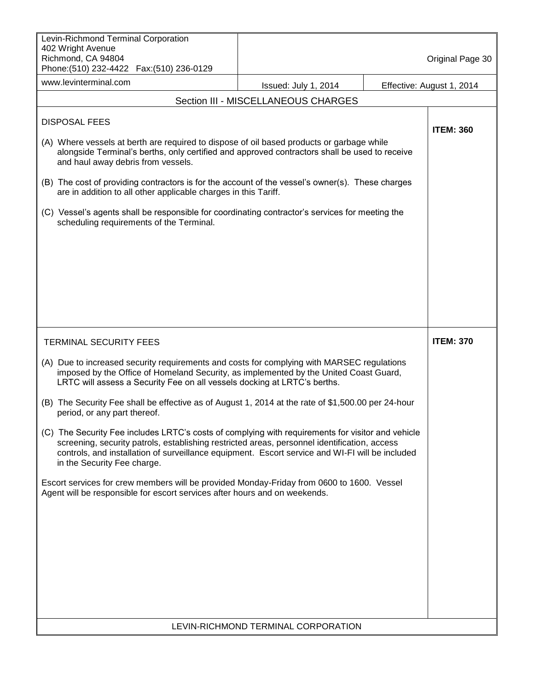| Levin-Richmond Terminal Corporation<br>402 Wright Avenue                                                                                                                                                                                                                                                                            |                                     |  |                           |  |  |
|-------------------------------------------------------------------------------------------------------------------------------------------------------------------------------------------------------------------------------------------------------------------------------------------------------------------------------------|-------------------------------------|--|---------------------------|--|--|
| Richmond, CA 94804<br>Phone: (510) 232-4422  Fax: (510) 236-0129                                                                                                                                                                                                                                                                    |                                     |  | Original Page 30          |  |  |
| www.levinterminal.com                                                                                                                                                                                                                                                                                                               | Issued: July 1, 2014                |  | Effective: August 1, 2014 |  |  |
|                                                                                                                                                                                                                                                                                                                                     | Section III - MISCELLANEOUS CHARGES |  |                           |  |  |
| <b>DISPOSAL FEES</b><br>(A) Where vessels at berth are required to dispose of oil based products or garbage while                                                                                                                                                                                                                   |                                     |  | <b>ITEM: 360</b>          |  |  |
| alongside Terminal's berths, only certified and approved contractors shall be used to receive<br>and haul away debris from vessels.                                                                                                                                                                                                 |                                     |  |                           |  |  |
| (B) The cost of providing contractors is for the account of the vessel's owner(s). These charges<br>are in addition to all other applicable charges in this Tariff.                                                                                                                                                                 |                                     |  |                           |  |  |
| (C) Vessel's agents shall be responsible for coordinating contractor's services for meeting the<br>scheduling requirements of the Terminal.                                                                                                                                                                                         |                                     |  |                           |  |  |
|                                                                                                                                                                                                                                                                                                                                     |                                     |  |                           |  |  |
|                                                                                                                                                                                                                                                                                                                                     |                                     |  |                           |  |  |
|                                                                                                                                                                                                                                                                                                                                     |                                     |  |                           |  |  |
| <b>TERMINAL SECURITY FEES</b>                                                                                                                                                                                                                                                                                                       |                                     |  | <b>ITEM: 370</b>          |  |  |
| (A) Due to increased security requirements and costs for complying with MARSEC regulations<br>imposed by the Office of Homeland Security, as implemented by the United Coast Guard,<br>LRTC will assess a Security Fee on all vessels docking at LRTC's berths.                                                                     |                                     |  |                           |  |  |
| (B) The Security Fee shall be effective as of August 1, 2014 at the rate of \$1,500.00 per 24-hour<br>period, or any part thereof.                                                                                                                                                                                                  |                                     |  |                           |  |  |
| (C) The Security Fee includes LRTC's costs of complying with requirements for visitor and vehicle<br>screening, security patrols, establishing restricted areas, personnel identification, access<br>controls, and installation of surveillance equipment. Escort service and WI-FI will be included<br>in the Security Fee charge. |                                     |  |                           |  |  |
| Escort services for crew members will be provided Monday-Friday from 0600 to 1600. Vessel<br>Agent will be responsible for escort services after hours and on weekends.                                                                                                                                                             |                                     |  |                           |  |  |
|                                                                                                                                                                                                                                                                                                                                     |                                     |  |                           |  |  |
|                                                                                                                                                                                                                                                                                                                                     |                                     |  |                           |  |  |
|                                                                                                                                                                                                                                                                                                                                     |                                     |  |                           |  |  |
|                                                                                                                                                                                                                                                                                                                                     |                                     |  |                           |  |  |
|                                                                                                                                                                                                                                                                                                                                     | LEVIN-RICHMOND TERMINAL CORPORATION |  |                           |  |  |